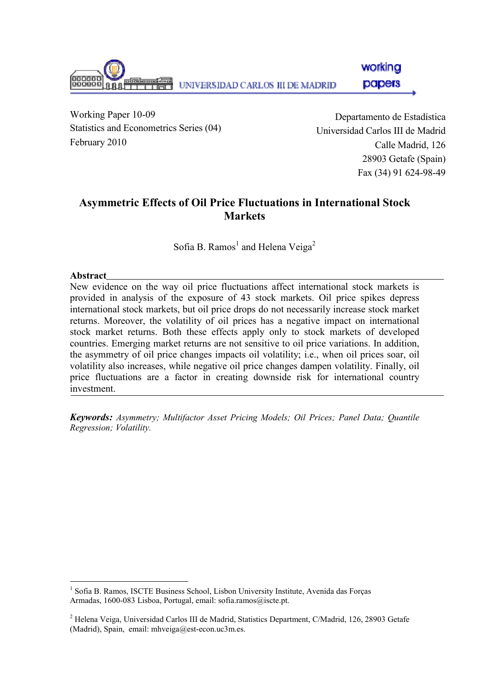

Working Paper 10-09 Statistics and Econometrics Series (04) February 2010

Departamento de Estadística Universidad Carlos III de Madrid Calle Madrid, 126 28903 Getafe (Spain) Fax (34) 91 624-98-49

# Asymmetric Effects of Oil Price Fluctuations in International Stock Markets

Sofia B. Ramos<sup>1</sup> and Helena Veiga<sup>2</sup>

### **Abstract**

New evidence on the way oil price fluctuations affect international stock markets is provided in analysis of the exposure of 43 stock markets. Oil price spikes depress international stock markets, but oil price drops do not necessarily increase stock market returns. Moreover, the volatility of oil prices has a negative impact on international stock market returns. Both these effects apply only to stock markets of developed countries. Emerging market returns are not sensitive to oil price variations. In addition, the asymmetry of oil price changes impacts oil volatility; i.e., when oil prices soar, oil volatility also increases, while negative oil price changes dampen volatility. Finally, oil price fluctuations are a factor in creating downside risk for international country investment.

Keywords: Asymmetry; Multifactor Asset Pricing Models; Oil Prices; Panel Data; Quantile Regression; Volatility.

 $\overline{a}$ <sup>1</sup> Sofia B. Ramos, ISCTE Business School, Lisbon University Institute, Avenida das Forças Armadas, 1600-083 Lisboa, Portugal, email: sofia.ramos@iscte.pt.

<sup>&</sup>lt;sup>2</sup> Helena Veiga, Universidad Carlos III de Madrid, Statistics Department, C/Madrid, 126, 28903 Getafe (Madrid), Spain, email: mhveiga@est-econ.uc3m.es.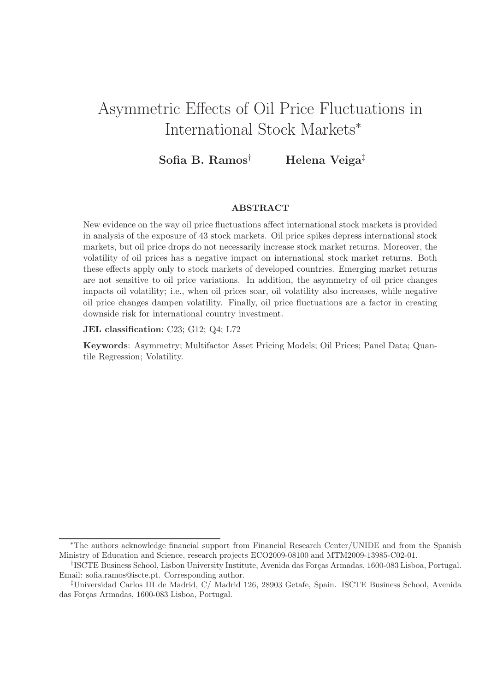# Asymmetric Effects of Oil Price Fluctuations in International Stock Markets<sup>∗</sup>

# Sofia B. Ramos<sup>†</sup> Helena Veiga<sup>‡</sup>

#### ABSTRACT

New evidence on the way oil price fluctuations affect international stock markets is provided in analysis of the exposure of 43 stock markets. Oil price spikes depress international stock markets, but oil price drops do not necessarily increase stock market returns. Moreover, the volatility of oil prices has a negative impact on international stock market returns. Both these effects apply only to stock markets of developed countries. Emerging market returns are not sensitive to oil price variations. In addition, the asymmetry of oil price changes impacts oil volatility; i.e., when oil prices soar, oil volatility also increases, while negative oil price changes dampen volatility. Finally, oil price fluctuations are a factor in creating downside risk for international country investment.

JEL classification: C23; G12; Q4; L72

Keywords: Asymmetry; Multifactor Asset Pricing Models; Oil Prices; Panel Data; Quantile Regression; Volatility.

<sup>∗</sup>The authors acknowledge financial support from Financial Research Center/UNIDE and from the Spanish Ministry of Education and Science, research projects ECO2009-08100 and MTM2009-13985-C02-01.

<sup>&</sup>lt;sup>†</sup>ISCTE Business School, Lisbon University Institute, Avenida das Forças Armadas, 1600-083 Lisboa, Portugal. Email: sofia.ramos@iscte.pt. Corresponding author.

<sup>‡</sup>Universidad Carlos III de Madrid, C/ Madrid 126, 28903 Getafe, Spain. ISCTE Business School, Avenida das Forças Armadas, 1600-083 Lisboa, Portugal.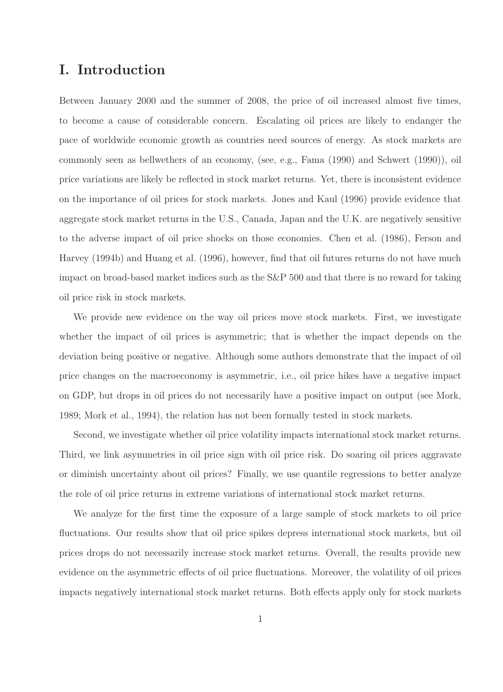# I. Introduction

Between January 2000 and the summer of 2008, the price of oil increased almost five times, to become a cause of considerable concern. Escalating oil prices are likely to endanger the pace of worldwide economic growth as countries need sources of energy. As stock markets are commonly seen as bellwethers of an economy, (see, e.g., Fama (1990) and Schwert (1990)), oil price variations are likely be reflected in stock market returns. Yet, there is inconsistent evidence on the importance of oil prices for stock markets. Jones and Kaul (1996) provide evidence that aggregate stock market returns in the U.S., Canada, Japan and the U.K. are negatively sensitive to the adverse impact of oil price shocks on those economies. Chen et al. (1986), Ferson and Harvey (1994b) and Huang et al. (1996), however, find that oil futures returns do not have much impact on broad-based market indices such as the S&P 500 and that there is no reward for taking oil price risk in stock markets.

We provide new evidence on the way oil prices move stock markets. First, we investigate whether the impact of oil prices is asymmetric; that is whether the impact depends on the deviation being positive or negative. Although some authors demonstrate that the impact of oil price changes on the macroeconomy is asymmetric, i.e., oil price hikes have a negative impact on GDP, but drops in oil prices do not necessarily have a positive impact on output (see Mork, 1989; Mork et al., 1994), the relation has not been formally tested in stock markets.

Second, we investigate whether oil price volatility impacts international stock market returns. Third, we link asymmetries in oil price sign with oil price risk. Do soaring oil prices aggravate or diminish uncertainty about oil prices? Finally, we use quantile regressions to better analyze the role of oil price returns in extreme variations of international stock market returns.

We analyze for the first time the exposure of a large sample of stock markets to oil price fluctuations. Our results show that oil price spikes depress international stock markets, but oil prices drops do not necessarily increase stock market returns. Overall, the results provide new evidence on the asymmetric effects of oil price fluctuations. Moreover, the volatility of oil prices impacts negatively international stock market returns. Both effects apply only for stock markets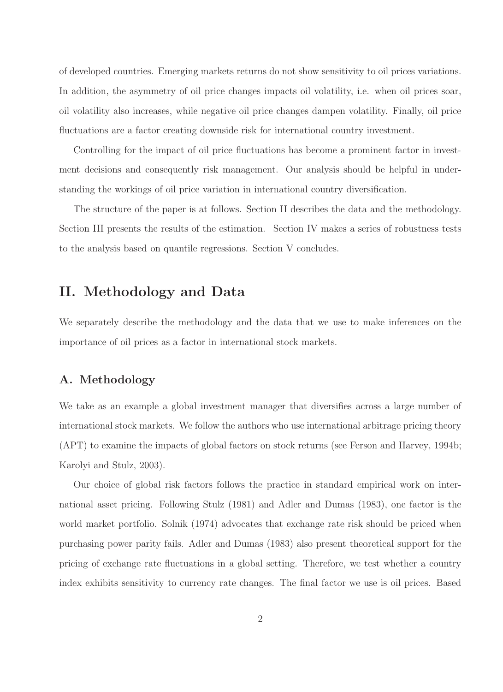of developed countries. Emerging markets returns do not show sensitivity to oil prices variations. In addition, the asymmetry of oil price changes impacts oil volatility, i.e. when oil prices soar, oil volatility also increases, while negative oil price changes dampen volatility. Finally, oil price fluctuations are a factor creating downside risk for international country investment.

Controlling for the impact of oil price fluctuations has become a prominent factor in investment decisions and consequently risk management. Our analysis should be helpful in understanding the workings of oil price variation in international country diversification.

The structure of the paper is at follows. Section II describes the data and the methodology. Section III presents the results of the estimation. Section IV makes a series of robustness tests to the analysis based on quantile regressions. Section V concludes.

# II. Methodology and Data

We separately describe the methodology and the data that we use to make inferences on the importance of oil prices as a factor in international stock markets.

# A. Methodology

We take as an example a global investment manager that diversifies across a large number of international stock markets. We follow the authors who use international arbitrage pricing theory (APT) to examine the impacts of global factors on stock returns (see Ferson and Harvey, 1994b; Karolyi and Stulz, 2003).

Our choice of global risk factors follows the practice in standard empirical work on international asset pricing. Following Stulz (1981) and Adler and Dumas (1983), one factor is the world market portfolio. Solnik (1974) advocates that exchange rate risk should be priced when purchasing power parity fails. Adler and Dumas (1983) also present theoretical support for the pricing of exchange rate fluctuations in a global setting. Therefore, we test whether a country index exhibits sensitivity to currency rate changes. The final factor we use is oil prices. Based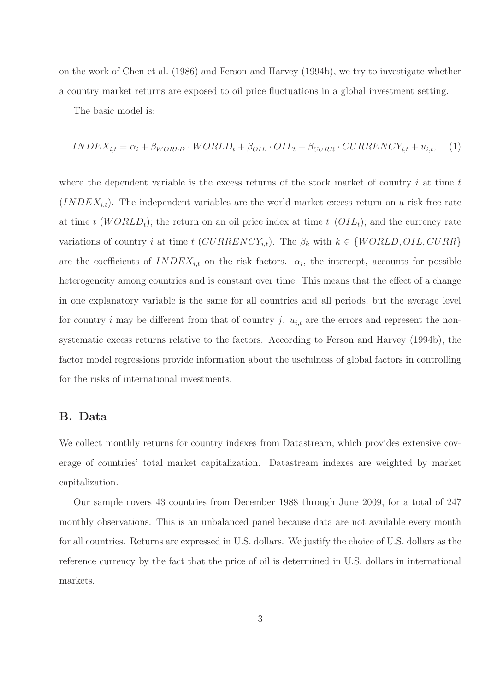on the work of Chen et al. (1986) and Ferson and Harvey (1994b), we try to investigate whether a country market returns are exposed to oil price fluctuations in a global investment setting.

The basic model is:

$$
INDEX_{i,t} = \alpha_i + \beta_{WORLD} \cdot WORLD_t + \beta_{OIL} \cdot OIL_t + \beta_{CURR} \cdot CURRENCY_{i,t} + u_{i,t}, \quad (1)
$$

where the dependent variable is the excess returns of the stock market of country  $i$  at time  $t$  $(INDEX_{i,t})$ . The independent variables are the world market excess return on a risk-free rate at time t (WORLD<sub>t</sub>); the return on an oil price index at time t (OIL<sub>t</sub>); and the currency rate variations of country i at time t  $(CURRENCY_{i,t})$ . The  $\beta_k$  with  $k \in \{WORLD, OIL, CURR\}$ are the coefficients of  $INDEX_{i,t}$  on the risk factors.  $\alpha_i$ , the intercept, accounts for possible heterogeneity among countries and is constant over time. This means that the effect of a change in one explanatory variable is the same for all countries and all periods, but the average level for country i may be different from that of country j.  $u_{i,t}$  are the errors and represent the nonsystematic excess returns relative to the factors. According to Ferson and Harvey (1994b), the factor model regressions provide information about the usefulness of global factors in controlling for the risks of international investments.

#### B. Data

We collect monthly returns for country indexes from Datastream, which provides extensive coverage of countries' total market capitalization. Datastream indexes are weighted by market capitalization.

Our sample covers 43 countries from December 1988 through June 2009, for a total of 247 monthly observations. This is an unbalanced panel because data are not available every month for all countries. Returns are expressed in U.S. dollars. We justify the choice of U.S. dollars as the reference currency by the fact that the price of oil is determined in U.S. dollars in international markets.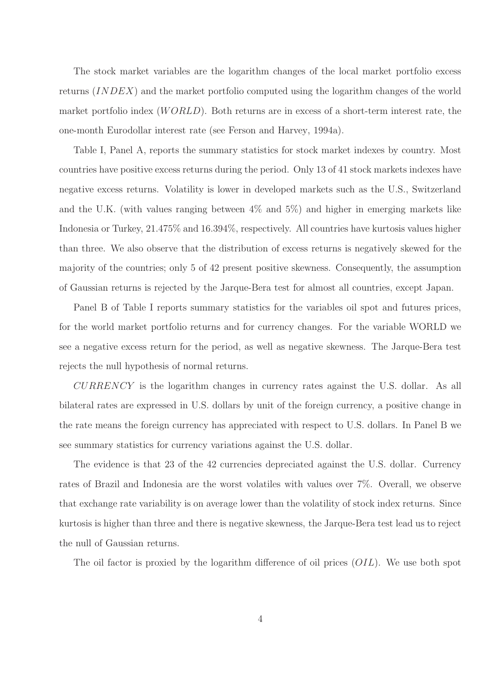The stock market variables are the logarithm changes of the local market portfolio excess returns (INDEX) and the market portfolio computed using the logarithm changes of the world market portfolio index  $(WORLD)$ . Both returns are in excess of a short-term interest rate, the one-month Eurodollar interest rate (see Ferson and Harvey, 1994a).

Table I, Panel A, reports the summary statistics for stock market indexes by country. Most countries have positive excess returns during the period. Only 13 of 41 stock markets indexes have negative excess returns. Volatility is lower in developed markets such as the U.S., Switzerland and the U.K. (with values ranging between 4% and 5%) and higher in emerging markets like Indonesia or Turkey, 21.475% and 16.394%, respectively. All countries have kurtosis values higher than three. We also observe that the distribution of excess returns is negatively skewed for the majority of the countries; only 5 of 42 present positive skewness. Consequently, the assumption of Gaussian returns is rejected by the Jarque-Bera test for almost all countries, except Japan.

Panel B of Table I reports summary statistics for the variables oil spot and futures prices, for the world market portfolio returns and for currency changes. For the variable WORLD we see a negative excess return for the period, as well as negative skewness. The Jarque-Bera test rejects the null hypothesis of normal returns.

 $CURRENCY$  is the logarithm changes in currency rates against the U.S. dollar. As all bilateral rates are expressed in U.S. dollars by unit of the foreign currency, a positive change in the rate means the foreign currency has appreciated with respect to U.S. dollars. In Panel B we see summary statistics for currency variations against the U.S. dollar.

The evidence is that 23 of the 42 currencies depreciated against the U.S. dollar. Currency rates of Brazil and Indonesia are the worst volatiles with values over 7%. Overall, we observe that exchange rate variability is on average lower than the volatility of stock index returns. Since kurtosis is higher than three and there is negative skewness, the Jarque-Bera test lead us to reject the null of Gaussian returns.

The oil factor is proxied by the logarithm difference of oil prices  $(OLL)$ . We use both spot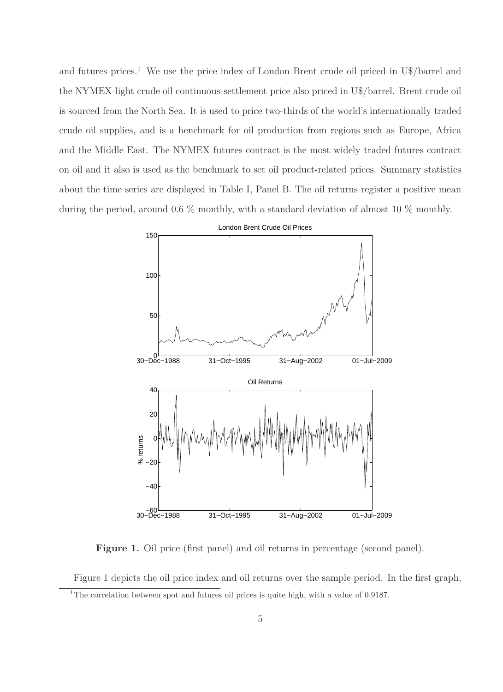and futures prices.<sup>1</sup> We use the price index of London Brent crude oil priced in U\$/barrel and the NYMEX-light crude oil continuous-settlement price also priced in U\$/barrel. Brent crude oil is sourced from the North Sea. It is used to price two-thirds of the world's internationally traded crude oil supplies, and is a benchmark for oil production from regions such as Europe, Africa and the Middle East. The NYMEX futures contract is the most widely traded futures contract on oil and it also is used as the benchmark to set oil product-related prices. Summary statistics about the time series are displayed in Table I, Panel B. The oil returns register a positive mean during the period, around 0.6 % monthly, with a standard deviation of almost 10 % monthly.



Figure 1. Oil price (first panel) and oil returns in percentage (second panel).

Figure 1 depicts the oil price index and oil returns over the sample period. In the first graph, <sup>1</sup>The correlation between spot and futures oil prices is quite high, with a value of 0.9187.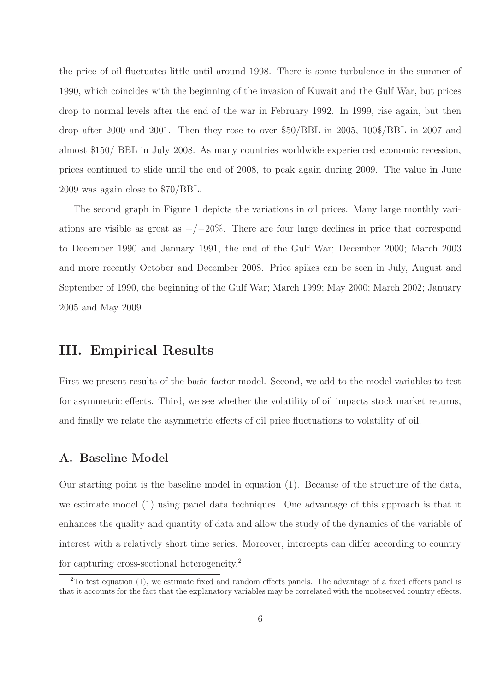the price of oil fluctuates little until around 1998. There is some turbulence in the summer of 1990, which coincides with the beginning of the invasion of Kuwait and the Gulf War, but prices drop to normal levels after the end of the war in February 1992. In 1999, rise again, but then drop after 2000 and 2001. Then they rose to over \$50/BBL in 2005, 100\$/BBL in 2007 and almost \$150/ BBL in July 2008. As many countries worldwide experienced economic recession, prices continued to slide until the end of 2008, to peak again during 2009. The value in June 2009 was again close to \$70/BBL.

The second graph in Figure 1 depicts the variations in oil prices. Many large monthly variations are visible as great as  $+/-20\%$ . There are four large declines in price that correspond to December 1990 and January 1991, the end of the Gulf War; December 2000; March 2003 and more recently October and December 2008. Price spikes can be seen in July, August and September of 1990, the beginning of the Gulf War; March 1999; May 2000; March 2002; January 2005 and May 2009.

# III. Empirical Results

First we present results of the basic factor model. Second, we add to the model variables to test for asymmetric effects. Third, we see whether the volatility of oil impacts stock market returns, and finally we relate the asymmetric effects of oil price fluctuations to volatility of oil.

### A. Baseline Model

Our starting point is the baseline model in equation (1). Because of the structure of the data, we estimate model (1) using panel data techniques. One advantage of this approach is that it enhances the quality and quantity of data and allow the study of the dynamics of the variable of interest with a relatively short time series. Moreover, intercepts can differ according to country for capturing cross-sectional heterogeneity.<sup>2</sup>

<sup>&</sup>lt;sup>2</sup>To test equation (1), we estimate fixed and random effects panels. The advantage of a fixed effects panel is that it accounts for the fact that the explanatory variables may be correlated with the unobserved country effects.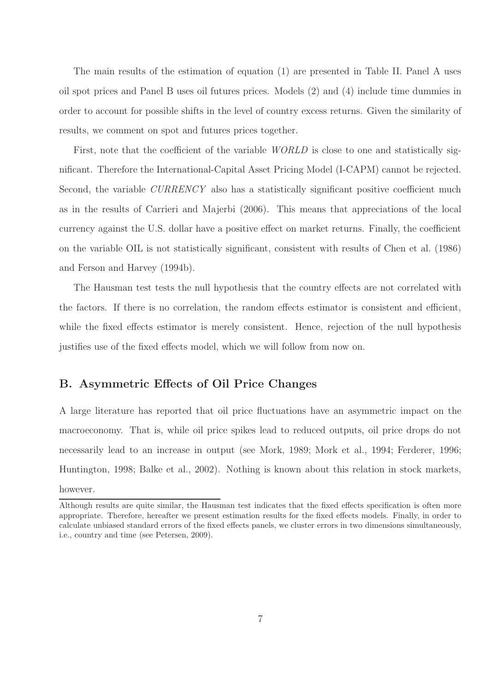The main results of the estimation of equation (1) are presented in Table II. Panel A uses oil spot prices and Panel B uses oil futures prices. Models (2) and (4) include time dummies in order to account for possible shifts in the level of country excess returns. Given the similarity of results, we comment on spot and futures prices together.

First, note that the coefficient of the variable *WORLD* is close to one and statistically significant. Therefore the International-Capital Asset Pricing Model (I-CAPM) cannot be rejected. Second, the variable *CURRENCY* also has a statistically significant positive coefficient much as in the results of Carrieri and Majerbi (2006). This means that appreciations of the local currency against the U.S. dollar have a positive effect on market returns. Finally, the coefficient on the variable OIL is not statistically significant, consistent with results of Chen et al. (1986) and Ferson and Harvey (1994b).

The Hausman test tests the null hypothesis that the country effects are not correlated with the factors. If there is no correlation, the random effects estimator is consistent and efficient, while the fixed effects estimator is merely consistent. Hence, rejection of the null hypothesis justifies use of the fixed effects model, which we will follow from now on.

### B. Asymmetric Effects of Oil Price Changes

A large literature has reported that oil price fluctuations have an asymmetric impact on the macroeconomy. That is, while oil price spikes lead to reduced outputs, oil price drops do not necessarily lead to an increase in output (see Mork, 1989; Mork et al., 1994; Ferderer, 1996; Huntington, 1998; Balke et al., 2002). Nothing is known about this relation in stock markets, however.

Although results are quite similar, the Hausman test indicates that the fixed effects specification is often more appropriate. Therefore, hereafter we present estimation results for the fixed effects models. Finally, in order to calculate unbiased standard errors of the fixed effects panels, we cluster errors in two dimensions simultaneously, i.e., country and time (see Petersen, 2009).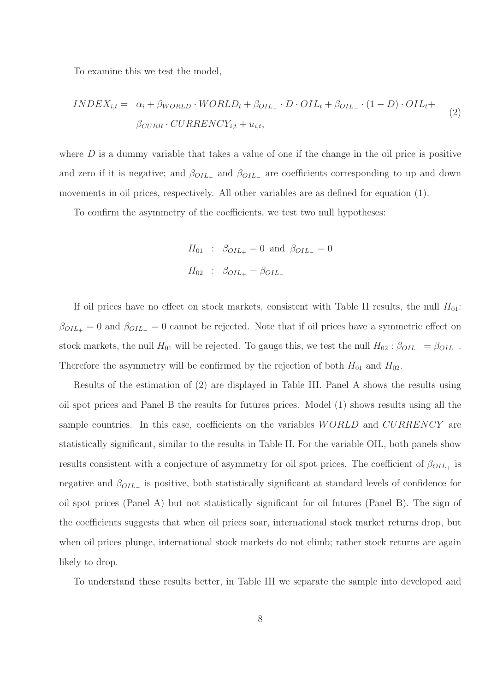To examine this we test the model,

$$
INDEX_{i,t} = \alpha_i + \beta_{WORLD} \cdot WORLD_t + \beta_{OIL_+} \cdot D \cdot OIL_t + \beta_{OIL_-} \cdot (1 - D) \cdot OIL_t + \beta_{CURR} \cdot CURRENCY_{i,t} + u_{i,t},
$$
\n
$$
(2)
$$

where  $D$  is a dummy variable that takes a value of one if the change in the oil price is positive and zero if it is negative; and  $\beta_{OIL_{+}}$  and  $\beta_{OIL_{-}}$  are coefficients corresponding to up and down movements in oil prices, respectively. All other variables are as defined for equation (1).

To confirm the asymmetry of the coefficients, we test two null hypotheses:

$$
H_{01}
$$
 :  $\beta_{OIL_{+}} = 0$  and  $\beta_{OIL_{-}} = 0$   
 $H_{02}$  :  $\beta_{OIL_{+}} = \beta_{OIL_{-}}$ 

If oil prices have no effect on stock markets, consistent with Table II results, the null  $H_{01}$ :  $\beta_{OIL_{+}} = 0$  and  $\beta_{OIL_{-}} = 0$  cannot be rejected. Note that if oil prices have a symmetric effect on stock markets, the null  $H_{01}$  will be rejected. To gauge this, we test the null  $H_{02}$ :  $\beta_{OIL_+} = \beta_{OIL_-}$ . Therefore the asymmetry will be confirmed by the rejection of both  $H_{01}$  and  $H_{02}$ .

Results of the estimation of (2) are displayed in Table III. Panel A shows the results using oil spot prices and Panel B the results for futures prices. Model (1) shows results using all the sample countries. In this case, coefficients on the variables  $WORLD$  and  $CURRENCY$  are statistically significant, similar to the results in Table II. For the variable OIL, both panels show results consistent with a conjecture of asymmetry for oil spot prices. The coefficient of  $\beta_{OIL_+}$  is negative and  $\beta_{OIL-}$  is positive, both statistically significant at standard levels of confidence for oil spot prices (Panel A) but not statistically significant for oil futures (Panel B). The sign of the coefficients suggests that when oil prices soar, international stock market returns drop, but when oil prices plunge, international stock markets do not climb; rather stock returns are again likely to drop.

To understand these results better, in Table III we separate the sample into developed and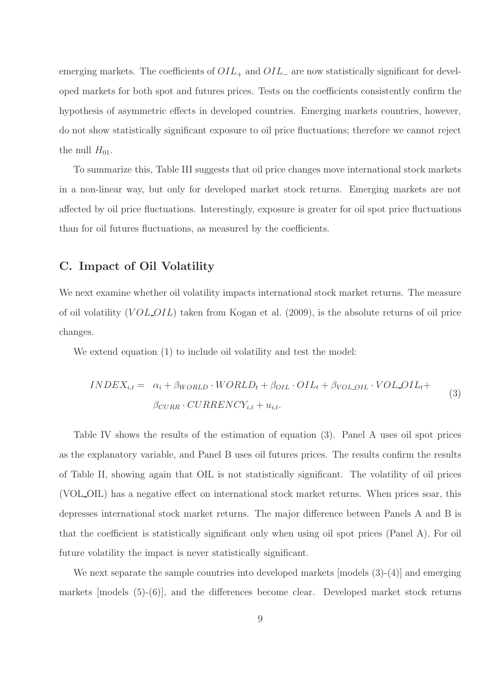emerging markets. The coefficients of  $OIL_+$  and  $OIL_-$  are now statistically significant for developed markets for both spot and futures prices. Tests on the coefficients consistently confirm the hypothesis of asymmetric effects in developed countries. Emerging markets countries, however, do not show statistically significant exposure to oil price fluctuations; therefore we cannot reject the null  $H_{01}$ .

To summarize this, Table III suggests that oil price changes move international stock markets in a non-linear way, but only for developed market stock returns. Emerging markets are not affected by oil price fluctuations. Interestingly, exposure is greater for oil spot price fluctuations than for oil futures fluctuations, as measured by the coefficients.

### C. Impact of Oil Volatility

We next examine whether oil volatility impacts international stock market returns. The measure of oil volatility  $(VOLOIL)$  taken from Kogan et al. (2009), is the absolute returns of oil price changes.

We extend equation (1) to include oil volatility and test the model:

$$
INDEX_{i,t} = \alpha_i + \beta_{WORLD} \cdot WORLD_t + \beta_{OIL} \cdot OIL_t + \beta_{VOLOIL} \cdot VOL_OL_t +
$$
  

$$
\beta_{CURR} \cdot CURRENCY_{i,t} + u_{i,t}.
$$
 (3)

Table IV shows the results of the estimation of equation (3). Panel A uses oil spot prices as the explanatory variable, and Panel B uses oil futures prices. The results confirm the results of Table II, showing again that OIL is not statistically significant. The volatility of oil prices (VOL OIL) has a negative effect on international stock market returns. When prices soar, this depresses international stock market returns. The major difference between Panels A and B is that the coefficient is statistically significant only when using oil spot prices (Panel A). For oil future volatility the impact is never statistically significant.

We next separate the sample countries into developed markets [models (3)-(4)] and emerging markets [models (5)-(6)], and the differences become clear. Developed market stock returns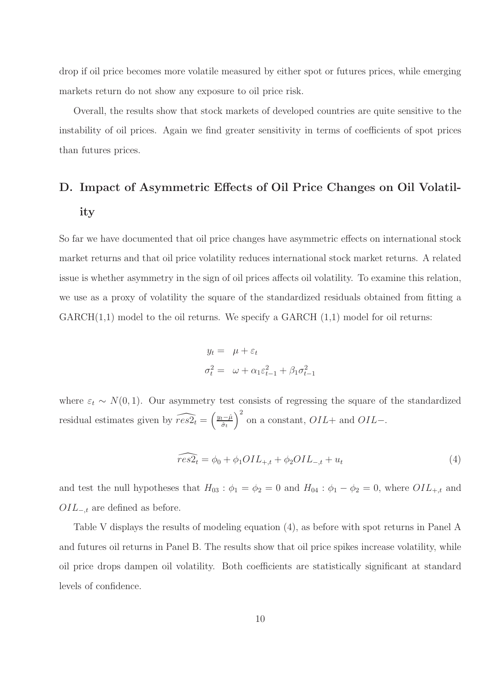drop if oil price becomes more volatile measured by either spot or futures prices, while emerging markets return do not show any exposure to oil price risk.

Overall, the results show that stock markets of developed countries are quite sensitive to the instability of oil prices. Again we find greater sensitivity in terms of coefficients of spot prices than futures prices.

# D. Impact of Asymmetric Effects of Oil Price Changes on Oil Volatility

So far we have documented that oil price changes have asymmetric effects on international stock market returns and that oil price volatility reduces international stock market returns. A related issue is whether asymmetry in the sign of oil prices affects oil volatility. To examine this relation, we use as a proxy of volatility the square of the standardized residuals obtained from fitting a  $GARCH(1,1)$  model to the oil returns. We specify a  $GARCH(1,1)$  model for oil returns:

$$
y_t = \mu + \varepsilon_t
$$
  

$$
\sigma_t^2 = \omega + \alpha_1 \varepsilon_{t-1}^2 + \beta_1 \sigma_{t-1}^2
$$

where  $\varepsilon_t \sim N(0, 1)$ . Our asymmetry test consists of regressing the square of the standardized residual estimates given by  $\widehat{res2}_t = \left(\frac{y_t - \hat{\mu}}{\hat{\sigma}_t}\right)$  $\hat{\sigma}_t$  $\big)^2$  on a constant,  $OIL+$  and  $OIL-$ .

$$
\widehat{res2_t} = \phi_0 + \phi_1 OIL_{+,t} + \phi_2 OIL_{-,t} + u_t \tag{4}
$$

and test the null hypotheses that  $H_{03}$ :  $\phi_1 = \phi_2 = 0$  and  $H_{04}$ :  $\phi_1 - \phi_2 = 0$ , where  $OIL_{+,t}$  and  $OIL_{-t}$  are defined as before.

Table V displays the results of modeling equation (4), as before with spot returns in Panel A and futures oil returns in Panel B. The results show that oil price spikes increase volatility, while oil price drops dampen oil volatility. Both coefficients are statistically significant at standard levels of confidence.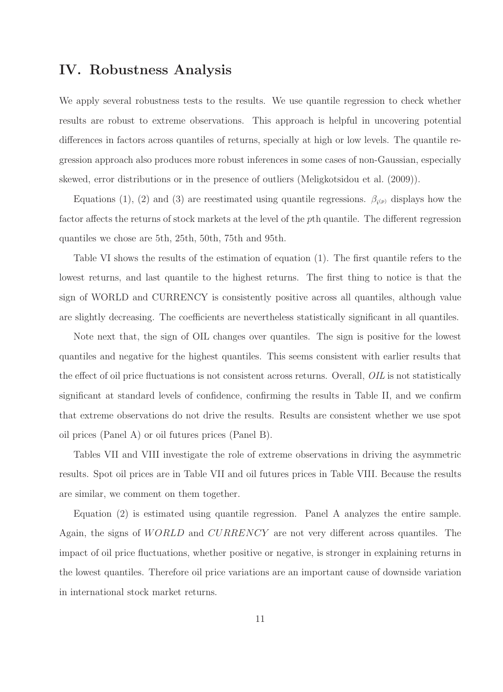# IV. Robustness Analysis

We apply several robustness tests to the results. We use quantile regression to check whether results are robust to extreme observations. This approach is helpful in uncovering potential differences in factors across quantiles of returns, specially at high or low levels. The quantile regression approach also produces more robust inferences in some cases of non-Gaussian, especially skewed, error distributions or in the presence of outliers (Meligkotsidou et al. (2009)).

Equations (1), (2) and (3) are reestimated using quantile regressions.  $\beta_{i^{(p)}}$  displays how the factor affects the returns of stock markets at the level of the pth quantile. The different regression quantiles we chose are 5th, 25th, 50th, 75th and 95th.

Table VI shows the results of the estimation of equation (1). The first quantile refers to the lowest returns, and last quantile to the highest returns. The first thing to notice is that the sign of WORLD and CURRENCY is consistently positive across all quantiles, although value are slightly decreasing. The coefficients are nevertheless statistically significant in all quantiles.

Note next that, the sign of OIL changes over quantiles. The sign is positive for the lowest quantiles and negative for the highest quantiles. This seems consistent with earlier results that the effect of oil price fluctuations is not consistent across returns. Overall, OIL is not statistically significant at standard levels of confidence, confirming the results in Table II, and we confirm that extreme observations do not drive the results. Results are consistent whether we use spot oil prices (Panel A) or oil futures prices (Panel B).

Tables VII and VIII investigate the role of extreme observations in driving the asymmetric results. Spot oil prices are in Table VII and oil futures prices in Table VIII. Because the results are similar, we comment on them together.

Equation (2) is estimated using quantile regression. Panel A analyzes the entire sample. Again, the signs of *WORLD* and *CURRENCY* are not very different across quantiles. The impact of oil price fluctuations, whether positive or negative, is stronger in explaining returns in the lowest quantiles. Therefore oil price variations are an important cause of downside variation in international stock market returns.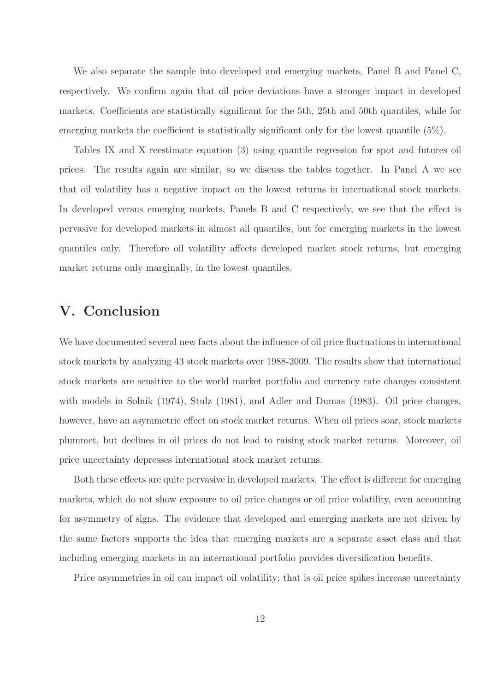We also separate the sample into developed and emerging markets, Panel B and Panel C, respectively. We confirm again that oil price deviations have a stronger impact in developed markets. Coefficients are statistically significant for the 5th, 25th and 50th quantiles, while for emerging markets the coefficient is statistically significant only for the lowest quantile (5%).

Tables IX and X reestimate equation (3) using quantile regression for spot and futures oil prices. The results again are similar, so we discuss the tables together. In Panel A we see that oil volatility has a negative impact on the lowest returns in international stock markets. In developed versus emerging markets, Panels B and C respectively, we see that the effect is pervasive for developed markets in almost all quantiles, but for emerging markets in the lowest quantiles only. Therefore oil volatility affects developed market stock returns, but emerging market returns only marginally, in the lowest quantiles.

# V. Conclusion

We have documented several new facts about the influence of oil price fluctuations in international stock markets by analyzing 43 stock markets over 1988-2009. The results show that international stock markets are sensitive to the world market portfolio and currency rate changes consistent with models in Solnik (1974), Stulz (1981), and Adler and Dumas (1983). Oil price changes, however, have an asymmetric effect on stock market returns. When oil prices soar, stock markets plummet, but declines in oil prices do not lead to raising stock market returns. Moreover, oil price uncertainty depresses international stock market returns.

Both these effects are quite pervasive in developed markets. The effect is different for emerging markets, which do not show exposure to oil price changes or oil price volatility, even accounting for asymmetry of signs. The evidence that developed and emerging markets are not driven by the same factors supports the idea that emerging markets are a separate asset class and that including emerging markets in an international portfolio provides diversification benefits.

Price asymmetries in oil can impact oil volatility; that is oil price spikes increase uncertainty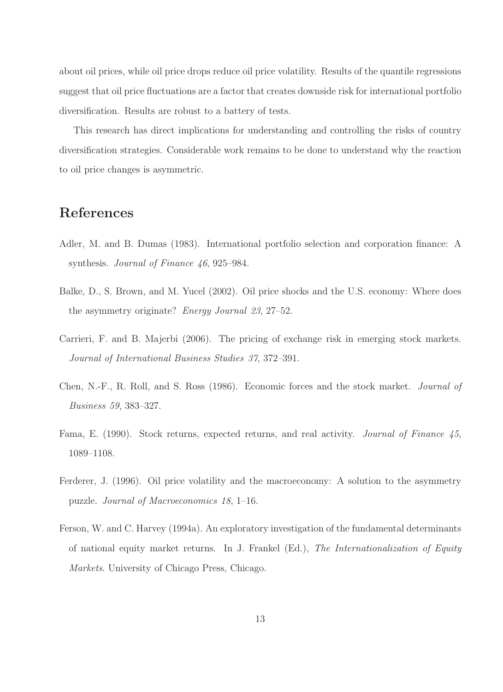about oil prices, while oil price drops reduce oil price volatility. Results of the quantile regressions suggest that oil price fluctuations are a factor that creates downside risk for international portfolio diversification. Results are robust to a battery of tests.

This research has direct implications for understanding and controlling the risks of country diversification strategies. Considerable work remains to be done to understand why the reaction to oil price changes is asymmetric.

# References

- Adler, M. and B. Dumas (1983). International portfolio selection and corporation finance: A synthesis. *Journal of Finance 46*, 925–984.
- Balke, D., S. Brown, and M. Yucel (2002). Oil price shocks and the U.S. economy: Where does the asymmetry originate? Energy Journal 23, 27–52.
- Carrieri, F. and B. Majerbi (2006). The pricing of exchange risk in emerging stock markets. Journal of International Business Studies 37, 372–391.
- Chen, N.-F., R. Roll, and S. Ross (1986). Economic forces and the stock market. Journal of Business 59, 383–327.
- Fama, E. (1990). Stock returns, expected returns, and real activity. Journal of Finance 45, 1089–1108.
- Ferderer, J. (1996). Oil price volatility and the macroeconomy: A solution to the asymmetry puzzle. Journal of Macroeconomics 18, 1–16.
- Ferson, W. and C. Harvey (1994a). An exploratory investigation of the fundamental determinants of national equity market returns. In J. Frankel (Ed.), The Internationalization of Equity Markets. University of Chicago Press, Chicago.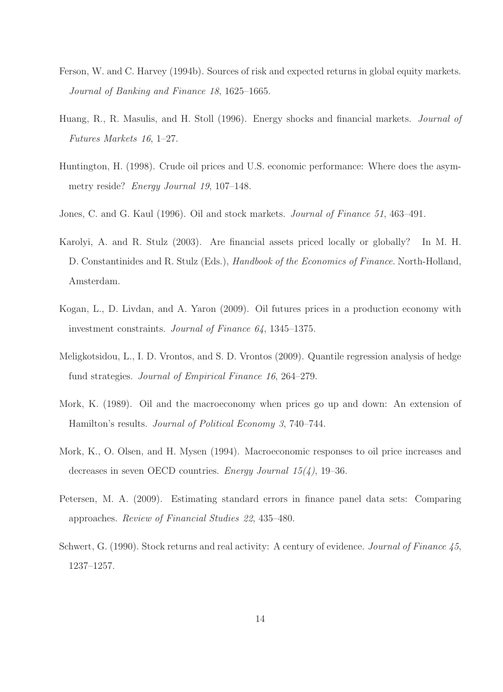- Ferson, W. and C. Harvey (1994b). Sources of risk and expected returns in global equity markets. Journal of Banking and Finance 18, 1625–1665.
- Huang, R., R. Masulis, and H. Stoll (1996). Energy shocks and financial markets. Journal of Futures Markets 16, 1–27.
- Huntington, H. (1998). Crude oil prices and U.S. economic performance: Where does the asymmetry reside? Energy Journal 19, 107–148.
- Jones, C. and G. Kaul (1996). Oil and stock markets. Journal of Finance 51, 463–491.
- Karolyi, A. and R. Stulz (2003). Are financial assets priced locally or globally? In M. H. D. Constantinides and R. Stulz (Eds.), *Handbook of the Economics of Finance*. North-Holland, Amsterdam.
- Kogan, L., D. Livdan, and A. Yaron (2009). Oil futures prices in a production economy with investment constraints. Journal of Finance 64, 1345–1375.
- Meligkotsidou, L., I. D. Vrontos, and S. D. Vrontos (2009). Quantile regression analysis of hedge fund strategies. Journal of Empirical Finance 16, 264–279.
- Mork, K. (1989). Oil and the macroeconomy when prices go up and down: An extension of Hamilton's results. Journal of Political Economy 3, 740–744.
- Mork, K., O. Olsen, and H. Mysen (1994). Macroeconomic responses to oil price increases and decreases in seven OECD countries. *Energy Journal*  $15(4)$ , 19–36.
- Petersen, M. A. (2009). Estimating standard errors in finance panel data sets: Comparing approaches. Review of Financial Studies 22, 435–480.
- Schwert, G. (1990). Stock returns and real activity: A century of evidence. Journal of Finance 45, 1237–1257.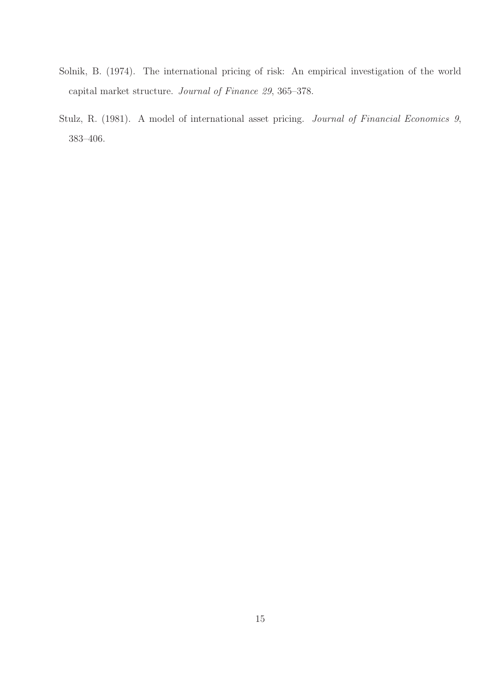- Solnik, B. (1974). The international pricing of risk: An empirical investigation of the world capital market structure. Journal of Finance 29, 365–378.
- Stulz, R. (1981). A model of international asset pricing. Journal of Financial Economics 9, 383–406.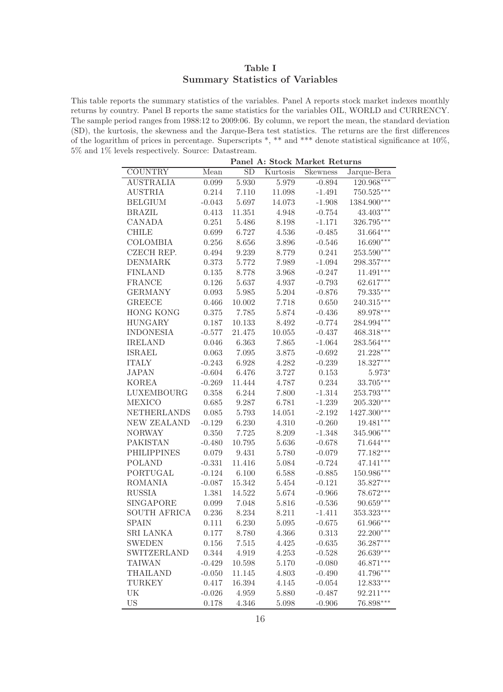# Table I Summary Statistics of Variables

This table reports the summary statistics of the variables. Panel A reports stock market indexes monthly returns by country. Panel B reports the same statistics for the variables OIL, WORLD and CURRENCY. The sample period ranges from 1988:12 to 2009:06. By column, we report the mean, the standard deviation (SD), the kurtosis, the skewness and the Jarque-Bera test statistics. The returns are the first differences of the logarithm of prices in percentage. Superscripts \*, \*\* and \*\*\* denote statistical significance at 10%, 5% and 1% levels respectively. Source: Datastream.

| Panel A: Stock Market Returns |           |                 |          |                 |              |  |  |
|-------------------------------|-----------|-----------------|----------|-----------------|--------------|--|--|
| <b>COUNTRY</b>                | Mean      | $\overline{SD}$ | Kurtosis | <b>Skewness</b> | Jarque-Bera  |  |  |
| <b>AUSTRALIA</b>              | 0.099     | 5.930           | 5.979    | $-0.894$        | $120.968***$ |  |  |
| <b>AUSTRIA</b>                | 0.214     | 7.110           | 11.098   | $-1.491$        | 750.525***   |  |  |
| <b>BELGIUM</b>                | $-0.043$  | 5.697           | 14.073   | $-1.908$        | 1384.900***  |  |  |
| <b>BRAZIL</b>                 | 0.413     | 11.351          | 4.948    | $-0.754$        | $43.403***$  |  |  |
| <b>CANADA</b>                 | 0.251     | 5.486           | 8.198    | $-1.171$        | 326.795***   |  |  |
| <b>CHILE</b>                  | 0.699     | 6.727           | 4.536    | $-0.485$        | 31.664***    |  |  |
| <b>COLOMBIA</b>               | 0.256     | 8.656           | 3.896    | $-0.546$        | 16.690***    |  |  |
| CZECH REP.                    | 0.494     | 9.239           | 8.779    | 0.241           | 253.590***   |  |  |
| <b>DENMARK</b>                | 0.373     | 5.772           | 7.989    | $-1.094$        | 298.357***   |  |  |
| <b>FINLAND</b>                | 0.135     | 8.778           | 3.968    | $-0.247$        | $11.491***$  |  |  |
| <b>FRANCE</b>                 | 0.126     | 5.637           | 4.937    | $-0.793$        | 62.617***    |  |  |
| <b>GERMANY</b>                | 0.093     | 5.985           | 5.204    | $-0.876$        | $79.335***$  |  |  |
| <b>GREECE</b>                 | 0.466     | 10.002          | 7.718    | 0.650           | 240.315***   |  |  |
| <b>HONG KONG</b>              | $0.375\,$ | 7.785           | 5.874    | $-0.436$        | 89.978***    |  |  |
| <b>HUNGARY</b>                | 0.187     | 10.133          | 8.492    | $-0.774$        | 284.994***   |  |  |
| <b>INDONESIA</b>              | $-0.577$  | 21.475          | 10.055   | $-0.437$        | 468.318***   |  |  |
| <b>IRELAND</b>                | 0.046     | 6.363           | 7.865    | $-1.064$        | 283.564***   |  |  |
| <b>ISRAEL</b>                 | 0.063     | 7.095           | 3.875    | $-0.692$        | 21.228***    |  |  |
| <b>ITALY</b>                  | $-0.243$  | 6.928           | 4.282    | $-0.239$        | 18.327***    |  |  |
| <b>JAPAN</b>                  | $-0.604$  | 6.476           | 3.727    | 0.153           | $5.973*$     |  |  |
| <b>KOREA</b>                  | $-0.269$  | 11.444          | 4.787    | 0.234           | 33.705***    |  |  |
| LUXEMBOURG                    | 0.358     | 6.244           | 7.800    | $-1.314$        | 253.793***   |  |  |
| <b>MEXICO</b>                 | 0.685     | 9.287           | 6.781    | $-1.239$        | 205.320***   |  |  |
| <b>NETHERLANDS</b>            | 0.085     | 5.793           | 14.051   | $-2.192$        | 1427.300***  |  |  |
| <b>NEW ZEALAND</b>            | $-0.129$  | 6.230           | 4.310    | $-0.260$        | 19.481***    |  |  |
| <b>NORWAY</b>                 | 0.350     | 7.725           | 8.209    | $-1.348$        | 345.906***   |  |  |
| <b>PAKISTAN</b>               | $-0.480$  | 10.795          | 5.636    | $-0.678$        | 71.644***    |  |  |
| <b>PHILIPPINES</b>            | 0.079     | 9.431           | 5.780    | $-0.079$        | 77.182***    |  |  |
| <b>POLAND</b>                 | $-0.331$  | 11.416          | 5.084    | $-0.724$        | 47.141***    |  |  |
| PORTUGAL                      | $-0.124$  | 6.100           | 6.588    | $-0.885$        | $150.986***$ |  |  |
| <b>ROMANIA</b>                | $-0.087$  | 15.342          | 5.454    | $-0.121$        | 35.827***    |  |  |
| <b>RUSSIA</b>                 | 1.381     | 14.522          | 5.674    | $-0.966$        | $78.672***$  |  |  |
| <b>SINGAPORE</b>              | 0.099     | 7.048           | 5.816    | $-0.536$        | $90.659***$  |  |  |
| <b>SOUTH AFRICA</b>           | 0.236     | 8.234           | 8.211    | $-1.411$        | 353.323***   |  |  |
| <b>SPAIN</b>                  | 0.111     | 6.230           | 5.095    | $-0.675$        | 61.966***    |  |  |
| SRI LANKA                     | 0.177     | 8.780           | 4.366    | 0.313           | 22.200***    |  |  |
| <b>SWEDEN</b>                 | 0.156     | 7.515           | 4.425    | $-0.635$        | $36.287***$  |  |  |
| SWITZERLAND                   | 0.344     | 4.919           | 4.253    | $-0.528$        | 26.639***    |  |  |
| <b>TAIWAN</b>                 | $-0.429$  | 10.598          | 5.170    | $-0.080$        | $46.871***$  |  |  |
| <b>THAILAND</b>               | $-0.050$  | 11.145          | 4.803    | $-0.490$        | 41.796***    |  |  |
| <b>TURKEY</b>                 | 0.417     | 16.394          | 4.145    | $-0.054$        | $12.833***$  |  |  |
| UK                            | $-0.026$  | 4.959           | 5.880    | $-0.487$        | 92.211***    |  |  |
| <b>US</b>                     | 0.178     | 4.346           | 5.098    | $-0.906$        | 76.898***    |  |  |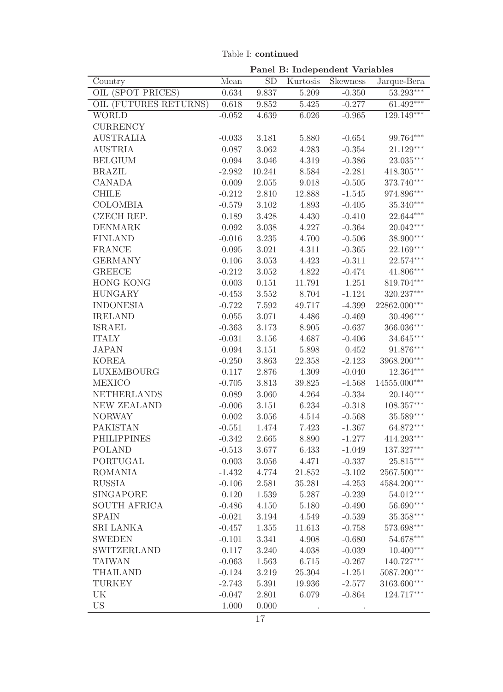|                       | Panel B: Independent Variables |           |          |          |                          |  |
|-----------------------|--------------------------------|-----------|----------|----------|--------------------------|--|
| Country               | Mean                           | <b>SD</b> | Kurtosis | Skewness | Jarque-Bera              |  |
| OIL (SPOT PRICES)     | 0.634                          | 9.837     | 5.209    | $-0.350$ | 53.293***                |  |
| OIL (FUTURES RETURNS) | 0.618                          | 9.852     | 5.425    | $-0.277$ | $61.492***$              |  |
| <b>WORLD</b>          | $-0.052$                       | 4.639     | 6.026    | $-0.965$ | $129.149***$             |  |
| <b>CURRENCY</b>       |                                |           |          |          |                          |  |
| <b>AUSTRALIA</b>      | $-0.033$                       | 3.181     | 5.880    | $-0.654$ | 99.764***                |  |
| <b>AUSTRIA</b>        | 0.087                          | 3.062     | 4.283    | $-0.354$ | 21.129***                |  |
| <b>BELGIUM</b>        | 0.094                          | 3.046     | 4.319    | $-0.386$ | 23.035***                |  |
| <b>BRAZIL</b>         | $-2.982$                       | 10.241    | 8.584    | $-2.281$ | $418.305***$             |  |
| <b>CANADA</b>         | 0.009                          | 2.055     | 9.018    | $-0.505$ | 373.740***               |  |
| <b>CHILE</b>          | $-0.212$                       | 2.810     | 12.888   | $-1.545$ | 974.896***               |  |
| <b>COLOMBIA</b>       | $-0.579$                       | 3.102     | 4.893    | $-0.405$ | $35.340***$              |  |
| <b>CZECH REP.</b>     | 0.189                          | 3.428     | 4.430    | $-0.410$ | 22.644***                |  |
| <b>DENMARK</b>        | 0.092                          | 3.038     | 4.227    | $-0.364$ | 20.042***                |  |
| <b>FINLAND</b>        | $-0.016$                       | 3.235     | 4.700    | $-0.506$ | 38.900***                |  |
| <b>FRANCE</b>         | 0.095                          | 3.021     | 4.311    | $-0.365$ | 22.169***                |  |
| <b>GERMANY</b>        | 0.106                          | 3.053     | 4.423    | $-0.311$ | $22.574***$              |  |
| <b>GREECE</b>         | $-0.212$                       | $3.052\,$ | 4.822    | $-0.474$ | 41.806***                |  |
| <b>HONG KONG</b>      | 0.003                          | 0.151     | 11.791   | 1.251    | 819.704***               |  |
| <b>HUNGARY</b>        | $-0.453$                       | 3.552     | 8.704    | $-1.124$ | 320.237***               |  |
| <b>INDONESIA</b>      | $-0.722$                       | 7.592     | 49.717   | $-4.399$ | 22862.000***             |  |
| <b>IRELAND</b>        | 0.055                          | 3.071     | 4.486    | $-0.469$ | $30.496***$              |  |
| <b>ISRAEL</b>         | $-0.363$                       | 3.173     | 8.905    | $-0.637$ | $366.036^{\ast\ast\ast}$ |  |
| <b>ITALY</b>          | $-0.031$                       | 3.156     | 4.687    | $-0.406$ | $34.645***$              |  |
| <b>JAPAN</b>          | 0.094                          | 3.151     | 5.898    | 0.452    | $91.876***$              |  |
| <b>KOREA</b>          | $-0.250$                       | 3.863     | 22.358   | $-2.123$ | 3968.200***              |  |
| LUXEMBOURG            | 0.117                          | 2.876     | 4.309    | $-0.040$ | 12.364***                |  |
| <b>MEXICO</b>         | $-0.705$                       | 3.813     | 39.825   | $-4.568$ | 14555.000***             |  |
| <b>NETHERLANDS</b>    | 0.089                          | 3.060     | 4.264    | $-0.334$ | 20.140***                |  |
| <b>NEW ZEALAND</b>    | $-0.006$                       | 3.151     | 6.234    | $-0.318$ | $108.357^{\ast\ast\ast}$ |  |
| <b>NORWAY</b>         | 0.002                          | $3.056\,$ | 4.514    | $-0.568$ | $35.589***$              |  |
| <b>PAKISTAN</b>       | $-0.551$                       | 1.474     | 7.423    | $-1.367$ | 64.872***                |  |
| <b>PHILIPPINES</b>    | $-0.342$                       | 2.665     | 8.890    | $-1.277$ | $414.293^{\ast\ast\ast}$ |  |
| <b>POLAND</b>         | $-0.513$                       | 3.677     | 6.433    | $-1.049$ | $137.327^{\ast\ast\ast}$ |  |
| PORTUGAL              | 0.003                          | 3.056     | 4.471    | $-0.337$ | $25.815***$              |  |
| <b>ROMANIA</b>        | $-1.432$                       | 4.774     | 21.852   | $-3.102$ | 2567.500***              |  |
| <b>RUSSIA</b>         | $-0.106$                       | 2.581     | 35.281   | $-4.253$ | $4584.200^{***}\,$       |  |
| <b>SINGAPORE</b>      | 0.120                          | 1.539     | 5.287    | $-0.239$ | $54.012***$              |  |
| <b>SOUTH AFRICA</b>   | $-0.486$                       | 4.150     | 5.180    | $-0.490$ | $56.690***$              |  |
| <b>SPAIN</b>          | $-0.021$                       | 3.194     | 4.549    | $-0.539$ | $35.358^{\ast\ast\ast}$  |  |
| <b>SRI LANKA</b>      | $-0.457$                       | 1.355     | 11.613   | $-0.758$ | 573.698***               |  |
| <b>SWEDEN</b>         | $-0.101$                       | 3.341     | 4.908    | $-0.680$ | 54.678***                |  |
| <b>SWITZERLAND</b>    | 0.117                          | 3.240     | 4.038    | $-0.039$ | $10.400***$              |  |
| <b>TAIWAN</b>         | $-0.063$                       | 1.563     | 6.715    | $-0.267$ | 140.727***               |  |
| <b>THAILAND</b>       | $-0.124$                       | 3.219     | 25.304   | $-1.251$ | $5087.200***$            |  |
| <b>TURKEY</b>         | $-2.743$                       | 5.391     | 19.936   | $-2.577$ | 3163.600***              |  |
| UK                    | $-0.047$                       | 2.801     | 6.079    | $-0.864$ | 124.717***               |  |
| <b>US</b>             | 1.000                          | 0.000     |          |          |                          |  |

Table I: continued

17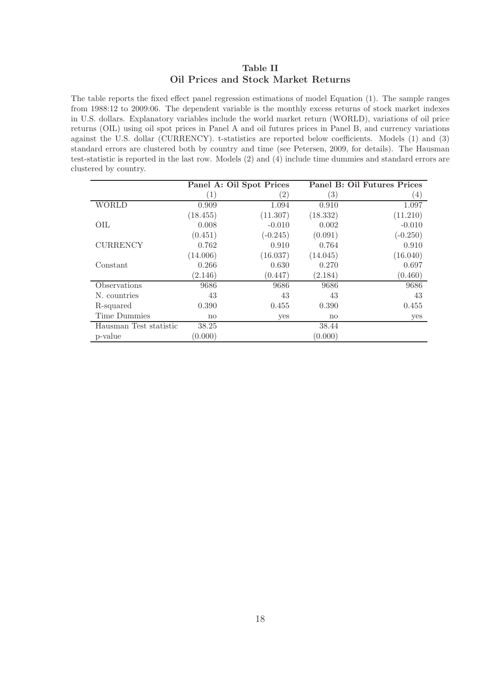## Table II Oil Prices and Stock Market Returns

The table reports the fixed effect panel regression estimations of model Equation (1). The sample ranges from 1988:12 to 2009:06. The dependent variable is the monthly excess returns of stock market indexes in U.S. dollars. Explanatory variables include the world market return (WORLD), variations of oil price returns (OIL) using oil spot prices in Panel A and oil futures prices in Panel B, and currency variations against the U.S. dollar (CURRENCY). t-statistics are reported below coefficients. Models (1) and (3) standard errors are clustered both by country and time (see Petersen, 2009, for details). The Hausman test-statistic is reported in the last row. Models (2) and (4) include time dummies and standard errors are clustered by country.

|                        | Panel A: Oil Spot Prices |                  |                   | Panel B: Oil Futures Prices |
|------------------------|--------------------------|------------------|-------------------|-----------------------------|
|                        | 1                        | $\left(2\right)$ | $\left( 3\right)$ | $\left(4\right)$            |
| <b>WORLD</b>           | 0.909                    | 1.094            | 0.910             | 1.097                       |
|                        | (18.455)                 | (11.307)         | (18.332)          | (11.210)                    |
| OIL                    | 0.008                    | $-0.010$         | 0.002             | $-0.010$                    |
|                        | (0.451)                  | $(-0.245)$       | (0.091)           | $(-0.250)$                  |
| <b>CURRENCY</b>        | 0.762                    | 0.910            | 0.764             | 0.910                       |
|                        | (14.006)                 | (16.037)         | (14.045)          | (16.040)                    |
| Constant               | 0.266                    | 0.630            | 0.270             | 0.697                       |
|                        | (2.146)                  | (0.447)          | (2.184)           | (0.460)                     |
| Observations           | 9686                     | 9686             | 9686              | 9686                        |
| N. countries           | 43                       | 43               | 43                | 43                          |
| R-squared              | 0.390                    | 0.455            | 0.390             | 0.455                       |
| Time Dummies           | no                       | yes              | $\mathbf{n}$      | yes                         |
| Hausman Test statistic | 38.25                    |                  | 38.44             |                             |
| p-value                | (0.000)                  |                  | (0.000)           |                             |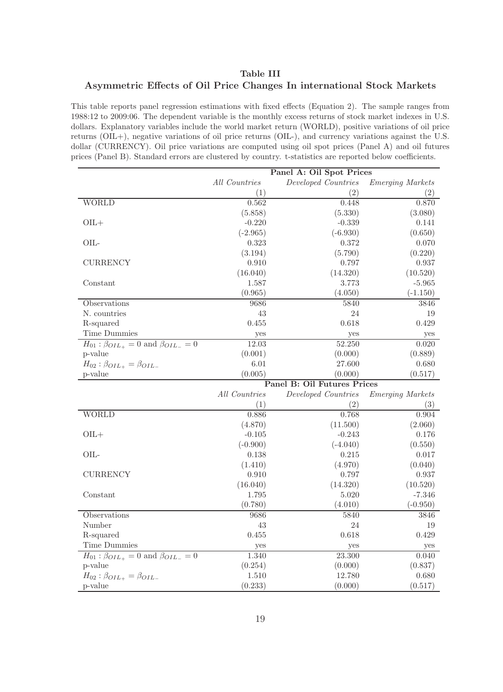### Table III Asymmetric Effects of Oil Price Changes In international Stock Markets

This table reports panel regression estimations with fixed effects (Equation 2). The sample ranges from 1988:12 to 2009:06. The dependent variable is the monthly excess returns of stock market indexes in U.S. dollars. Explanatory variables include the world market return (WORLD), positive variations of oil price returns (OIL+), negative variations of oil price returns (OIL-), and currency variations against the U.S. dollar (CURRENCY). Oil price variations are computed using oil spot prices (Panel A) and oil futures prices (Panel B). Standard errors are clustered by country. t-statistics are reported below coefficients.

|                                                            | Panel A: Oil Spot Prices |                             |                         |  |  |
|------------------------------------------------------------|--------------------------|-----------------------------|-------------------------|--|--|
|                                                            | All Countries            | Developed Countries         | <b>Emerging Markets</b> |  |  |
|                                                            | (1)                      | (2)                         | (2)                     |  |  |
| <b>WORLD</b>                                               | 0.562                    | 0.448                       | 0.870                   |  |  |
|                                                            | (5.858)                  | (5.330)                     | (3.080)                 |  |  |
| $OIL+$                                                     | $-0.220$                 | $-0.339$                    | 0.141                   |  |  |
|                                                            | $(-2.965)$               | $(-6.930)$                  | (0.650)                 |  |  |
| OIL-                                                       | 0.323                    | 0.372                       | 0.070                   |  |  |
|                                                            | (3.194)                  | (5.790)                     | (0.220)                 |  |  |
| <b>CURRENCY</b>                                            | 0.910                    | 0.797                       | 0.937                   |  |  |
|                                                            | (16.040)                 | (14.320)                    | (10.520)                |  |  |
| Constant                                                   | 1.587                    | 3.773                       | $-5.965$                |  |  |
|                                                            | (0.965)                  | (4.050)                     | $(-1.150)$              |  |  |
| Observations                                               | 9686                     | 5840                        | 3846                    |  |  |
| N. countries                                               | 43                       | 24                          | 19                      |  |  |
| R-squared                                                  | 0.455                    | 0.618                       | 0.429                   |  |  |
| Time Dummies                                               | yes                      | yes                         | yes                     |  |  |
| $H_{01}$ : $\beta_{OIL_{+}} = 0$ and $\beta_{OIL_{-}} = 0$ | 12.03                    | $\overline{52.250}$         | 0.020                   |  |  |
| p-value                                                    | (0.001)                  | (0.000)                     | (0.889)                 |  |  |
| $H_{02}$ : $\beta_{OIL_+} = \beta_{OIL_-}$                 | 6.01                     | 27.600                      | 0.680                   |  |  |
| p-value                                                    | (0.005)                  | (0.000)                     | (0.517)                 |  |  |
|                                                            |                          | Panel B: Oil Futures Prices |                         |  |  |
|                                                            | All Countries            | Developed Countries         | <b>Emerging Markets</b> |  |  |
|                                                            |                          |                             |                         |  |  |
|                                                            | (1)                      | (2)                         | (3)                     |  |  |
| <b>WORLD</b>                                               | 0.886                    | 0.768                       | 0.904                   |  |  |
|                                                            | (4.870)                  | (11.500)                    | (2.060)                 |  |  |
| $OIL +$                                                    | $-0.105$                 | $-0.243$                    | 0.176                   |  |  |
|                                                            | $(-0.900)$               | $(-4.040)$                  | (0.550)                 |  |  |
| OIL-                                                       | 0.138                    | 0.215                       | 0.017                   |  |  |
|                                                            | (1.410)                  | (4.970)                     | (0.040)                 |  |  |
| <b>CURRENCY</b>                                            | 0.910                    | 0.797                       | 0.937                   |  |  |
|                                                            | (16.040)                 | (14.320)                    | (10.520)                |  |  |
| Constant                                                   | 1.795                    | 5.020                       | $-7.346$                |  |  |
|                                                            | (0.780)                  | (4.010)                     | $(-0.950)$              |  |  |
| Observations                                               | 9686                     | 5840                        | 3846                    |  |  |
| Number                                                     | 43                       | 24                          | 19                      |  |  |
| R-squared                                                  | 0.455                    | 0.618                       | 0.429                   |  |  |
| Time Dummies                                               | yes                      | yes                         | yes                     |  |  |
| $H_{01}$ : $\beta_{OIL_{+}} = 0$ and $\beta_{OIL_{-}} = 0$ | 1.340                    | 23.300                      | 0.040                   |  |  |
| p-value                                                    | (0.254)                  | (0.000)                     | (0.837)                 |  |  |
| $H_{02}: \beta_{OIL_{+}} = \beta_{OIL_{-}}$<br>p-value     | 1.510<br>(0.233)         | 12.780<br>(0.000)           | 0.680<br>(0.517)        |  |  |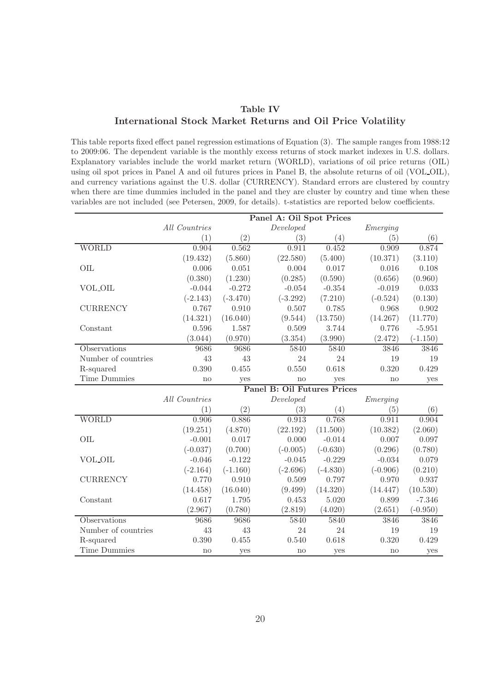### Table IV International Stock Market Returns and Oil Price Volatility

This table reports fixed effect panel regression estimations of Equation (3). The sample ranges from 1988:12 to 2009:06. The dependent variable is the monthly excess returns of stock market indexes in U.S. dollars. Explanatory variables include the world market return (WORLD), variations of oil price returns (OIL) using oil spot prices in Panel A and oil futures prices in Panel B, the absolute returns of oil (VOL OIL), and currency variations against the U.S. dollar (CURRENCY). Standard errors are clustered by country when there are time dummies included in the panel and they are cluster by country and time when these variables are not included (see Petersen, 2009, for details). t-statistics are reported below coefficients.

|                     | Panel A: Oil Spot Prices |            |                                    |            |            |            |
|---------------------|--------------------------|------------|------------------------------------|------------|------------|------------|
|                     | All Countries            |            | Developed                          |            | Emerging   |            |
|                     | (1)                      | (2)        | (3)                                | (4)        | (5)        | (6)        |
| <b>WORLD</b>        | 0.904                    | 0.562      | 0.911                              | 0.452      | 0.909      | 0.874      |
|                     | (19.432)                 | (5.860)    | (22.580)                           | (5.400)    | (10.371)   | (3.110)    |
| OIL                 | 0.006                    | 0.051      | 0.004                              | 0.017      | 0.016      | 0.108      |
|                     | (0.380)                  | (1.230)    | (0.285)                            | (0.590)    | (0.656)    | (0.960)    |
| <b>VOL_OIL</b>      | $-0.044$                 | $-0.272$   | $-0.054$                           | $-0.354$   | $-0.019$   | 0.033      |
|                     | $(-2.143)$               | $(-3.470)$ | $(-3.292)$                         | (7.210)    | $(-0.524)$ | (0.130)    |
| <b>CURRENCY</b>     | 0.767                    | 0.910      | 0.507                              | 0.785      | 0.968      | 0.902      |
|                     | (14.321)                 | (16.040)   | (9.544)                            | (13.750)   | (14.267)   | (11.770)   |
| Constant            | 0.596                    | 1.587      | 0.509                              | 3.744      | 0.776      | $-5.951$   |
|                     | (3.044)                  | (0.970)    | (3.354)                            | (3.990)    | (2.472)    | $(-1.150)$ |
| Observations        | 9686                     | 9686       | 5840                               | 5840       | 3846       | 3846       |
| Number of countries | 43                       | 43         | 24                                 | 24         | 19         | 19         |
| R-squared           | 0.390                    | 0.455      | 0.550                              | 0.618      | 0.320      | 0.429      |
| Time Dummies        | no                       | yes        | no                                 | yes        | no         | yes        |
|                     |                          |            | <b>Panel B: Oil Futures Prices</b> |            |            |            |
|                     | All Countries            |            | Developed                          |            | Emerging   |            |
|                     | (1)                      | (2)        | (3)                                | (4)        | (5)        | (6)        |
| <b>WORLD</b>        | 0.906                    | 0.886      | 0.913                              | 0.768      | 0.911      | 0.904      |
|                     | (19.251)                 | (4.870)    | (22.192)                           | (11.500)   | (10.382)   | (2.060)    |
| OIL                 | $-0.001$                 | 0.017      | 0.000                              | $-0.014$   | 0.007      | 0.097      |
|                     | $(-0.037)$               | (0.700)    | $(-0.005)$                         | $(-0.630)$ | (0.296)    | (0.780)    |
| <b>VOL_OIL</b>      | $-0.046$                 | $-0.122$   | $-0.045$                           | $-0.229$   | $-0.034$   | 0.079      |
|                     | $(-2.164)$               | $(-1.160)$ | $(-2.696)$                         | $(-4.830)$ | $(-0.906)$ | (0.210)    |
| <b>CURRENCY</b>     | 0.770                    | 0.910      | 0.509                              | 0.797      | 0.970      | 0.937      |
|                     | (14.458)                 | (16.040)   | (9.499)                            | (14.320)   | (14.447)   | (10.530)   |
| Constant            | 0.617                    | 1.795      | 0.453                              | 5.020      | 0.899      | $-7.346$   |
|                     | (2.967)                  | (0.780)    | (2.819)                            | (4.020)    | (2.651)    | $(-0.950)$ |
| Observations        | 9686                     | 9686       | 5840                               | 5840       | 3846       | 3846       |
| Number of countries | 43                       | 43         | 24                                 | 24         | 19         | 19         |
| R-squared           | 0.390                    | 0.455      | 0.540                              | 0.618      | 0.320      | 0.429      |
| Time Dummies        | no                       | yes        | no                                 | yes        | no         | yes        |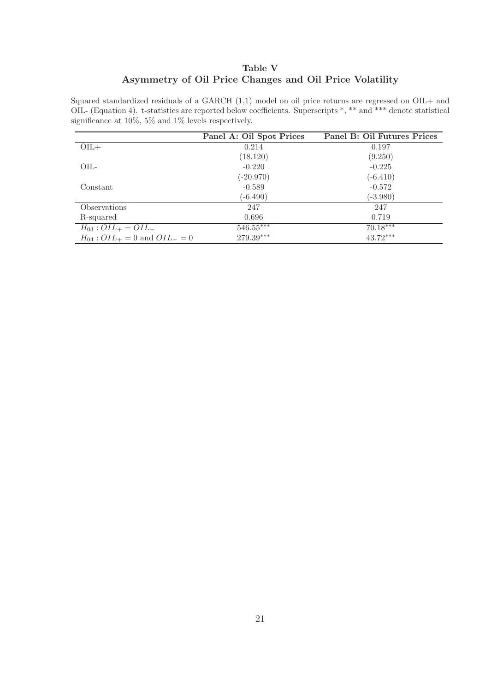# Table V Asymmetry of Oil Price Changes and Oil Price Volatility

Squared standardized residuals of a GARCH  $(1,1)$  model on oil price returns are regressed on OIL+ and OIL- (Equation 4). t-statistics are reported below coefficients. Superscripts \*, \*\* and \*\*\* denote statistical significance at 10%, 5% and 1% levels respectively.

|                                            | Panel A: Oil Spot Prices | Panel B: Oil Futures Prices |
|--------------------------------------------|--------------------------|-----------------------------|
| $OIL+$                                     | 0.214                    | 0.197                       |
|                                            | (18.120)                 | (9.250)                     |
| $OIL-$                                     | $-0.220$                 | $-0.225$                    |
|                                            | $(-20.970)$              | $(-6.410)$                  |
| Constant                                   | $-0.589$                 | $-0.572$                    |
|                                            | $(-6.490)$               | $(-3.980)$                  |
| Observations                               | 247                      | 247                         |
| R-squared                                  | 0.696                    | 0.719                       |
| $H_{03}$ : $OIL_{+} = OIL_{-}$             | $546.55***$              | $70.18***$                  |
| $H_{04}$ : $OIL_{+} = 0$ and $OIL_{-} = 0$ | $279.39***$              | $43.72***$                  |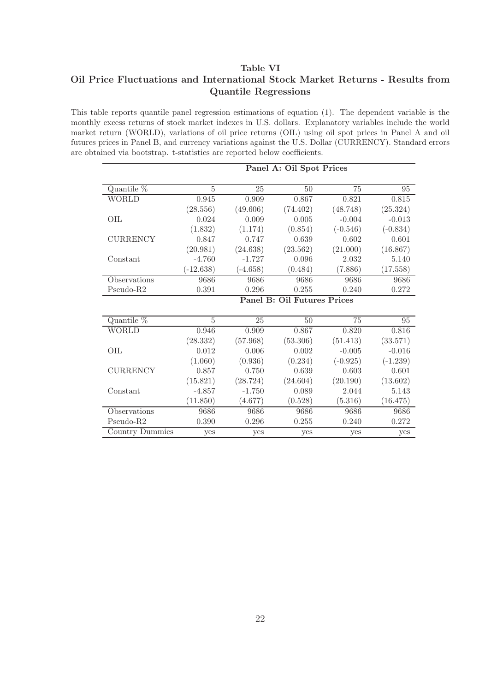### Table VI

# Oil Price Fluctuations and International Stock Market Returns - Results from Quantile Regressions

This table reports quantile panel regression estimations of equation (1). The dependent variable is the monthly excess returns of stock market indexes in U.S. dollars. Explanatory variables include the world market return (WORLD), variations of oil price returns (OIL) using oil spot prices in Panel A and oil futures prices in Panel B, and currency variations against the U.S. Dollar (CURRENCY). Standard errors are obtained via bootstrap. t-statistics are reported below coefficients.

|                 |                |            | Panel A: Oil Spot Prices           |            |            |
|-----------------|----------------|------------|------------------------------------|------------|------------|
| Quantile %      | $\overline{5}$ | 25         | 50                                 | 75         | 95         |
| <b>WORLD</b>    | 0.945          | 0.909      | 0.867                              | 0.821      | 0.815      |
|                 | (28.556)       | (49.606)   | (74.402)                           | (48.748)   | (25.324)   |
| OIL.            | 0.024          | 0.009      | 0.005                              | $-0.004$   | $-0.013$   |
|                 | (1.832)        | (1.174)    | (0.854)                            | $(-0.546)$ | $(-0.834)$ |
| <b>CURRENCY</b> | 0.847          | 0.747      | 0.639                              | 0.602      | 0.601      |
|                 | (20.981)       | (24.638)   | (23.562)                           | (21.000)   | (16.867)   |
| Constant        | $-4.760$       | $-1.727$   | 0.096                              | 2.032      | 5.140      |
|                 | $(-12.638)$    | $(-4.658)$ | (0.484)                            | (7.886)    | (17.558)   |
| Observations    | 9686           | 9686       | 9686                               | 9686       | 9686       |
| Pseudo-R2       | $0.391\,$      | 0.296      | 0.255                              | 0.240      | 0.272      |
|                 |                |            | <b>Panel B: Oil Futures Prices</b> |            |            |
| Quantile %      | $\overline{5}$ | 25         | 50                                 | 75         | 95         |
| <b>WORLD</b>    | 0.946          | 0.909      | 0.867                              | 0.820      | 0.816      |
|                 | (28.332)       | (57.968)   | (53.306)                           | (51.413)   | (33.571)   |
| OIL             | 0.012          | 0.006      | 0.002                              | $-0.005$   | $-0.016$   |
|                 | (1.060)        | (0.936)    | (0.234)                            | $(-0.925)$ | $(-1.239)$ |
| <b>CURRENCY</b> | 0.857          | 0.750      | 0.639                              | 0.603      | 0.601      |
|                 | (15.821)       | (28.724)   | (24.604)                           | (20.190)   | (13.602)   |
| Constant        | $-4.857$       | $-1.750$   | 0.089                              | 2.044      | 5.143      |
|                 | (11.850)       | (4.677)    | (0.528)                            | (5.316)    | (16.475)   |
| Observations    | 9686           | 9686       | 9686                               | 9686       | 9686       |
| $Pseudo-R2$     | 0.390          | 0.296      | 0.255                              | 0.240      | 0.272      |
| Country Dummies | yes            | yes        | yes                                | yes        | yes        |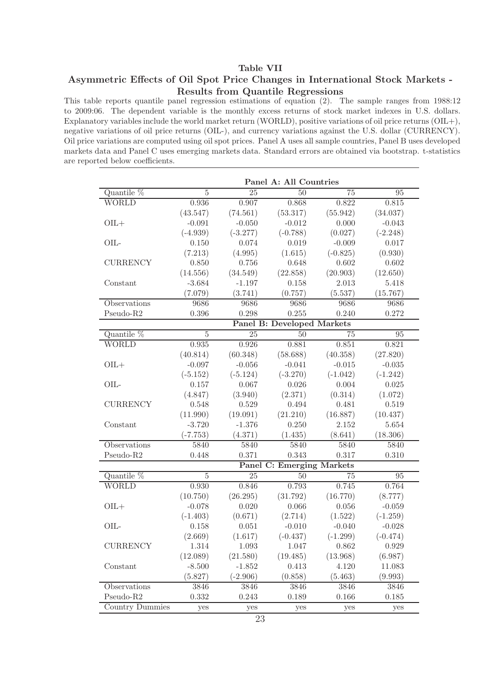### Table VII

## Asymmetric Effects of Oil Spot Price Changes in International Stock Markets - Results from Quantile Regressions

This table reports quantile panel regression estimations of equation (2). The sample ranges from 1988:12 to 2009:06. The dependent variable is the monthly excess returns of stock market indexes in U.S. dollars. Explanatory variables include the world market return (WORLD), positive variations of oil price returns (OIL+), negative variations of oil price returns (OIL-), and currency variations against the U.S. dollar (CURRENCY). Oil price variations are computed using oil spot prices. Panel A uses all sample countries, Panel B uses developed markets data and Panel C uses emerging markets data. Standard errors are obtained via bootstrap. t-statistics are reported below coefficients.

| Quantile $%$<br>$\overline{5}$<br>$\overline{25}$<br>$\overline{50}$<br>75<br>95<br><b>WORLD</b><br>0.936<br>0.907<br>0.868<br>0.822<br>0.815<br>(43.547)<br>(74.561)<br>(53.317)<br>(55.942)<br>(34.037)<br>$-0.091$<br>$-0.012$<br>0.000<br>$-0.043$<br>$OIL +$<br>$-0.050$<br>$(-0.788)$<br>$(-4.939)$<br>$(-3.277)$<br>(0.027)<br>$(-2.248)$<br>OIL-<br>0.150<br>0.074<br>0.019<br>$-0.009$<br>0.017<br>(7.213)<br>(4.995)<br>(1.615)<br>(0.930)<br>$(-0.825)$<br><b>CURRENCY</b><br>0.850<br>0.756<br>0.648<br>0.602<br>0.602<br>(22.858)<br>(20.903)<br>(14.556)<br>(34.549)<br>(12.650)<br>$-3.684$<br>$-1.197$<br>0.158<br>2.013<br>5.418<br>Constant<br>(7.079)<br>(3.741)<br>(0.757)<br>(5.537)<br>(15.767)<br>9686<br>9686<br>Observations<br>9686<br>9686<br>9686<br>Pseudo-R2<br>0.396<br>0.298<br>0.255<br>0.240<br>0.272<br>Panel B: Developed Markets<br>Quantile %<br>$\overline{5}$<br>50<br>95<br>25<br>75<br><b>WORLD</b><br>0.881<br>0.821<br>0.935<br>0.926<br>0.851<br>(40.814)<br>(60.348)<br>(40.358)<br>(27.820)<br>(58.688)<br>$-0.097$<br>$-0.056$<br>$-0.041$<br>$-0.015$<br>$OIL +$<br>$-0.035$<br>$(-5.152)$<br>$(-5.124)$<br>$(-3.270)$<br>$(-1.042)$<br>$(-1.242)$<br>OIL-<br>0.157<br>0.026<br>0.004<br>0.025<br>0.067<br>(4.847)<br>(3.940)<br>(2.371)<br>(0.314)<br>(1.072)<br><b>CURRENCY</b><br>0.548<br>0.529<br>0.494<br>0.481<br>0.519<br>(11.990)<br>(19.091)<br>(21.210)<br>(16.887)<br>(10.437)<br>$-3.720$<br>$-1.376$<br>0.250<br>2.152<br>5.654<br>Constant<br>(4.371)<br>(8.641)<br>(18.306)<br>$(-7.753)$<br>(1.435)<br>5840<br>5840<br>5840<br>Observations<br>5840<br>5840<br>0.371<br>0.343<br>Pseudo-R2<br>0.448<br>0.317<br>0.310<br><b>Panel C: Emerging Markets</b><br>Quantile %<br>$\overline{5}$<br>$\overline{95}$<br>25<br>50<br>75<br><b>WORLD</b><br>0.930<br>0.846<br>0.793<br>0.745<br>0.764<br>(16.770)<br>(26.295)<br>(31.792)<br>(8.777)<br>(10.750)<br>$-0.078$<br>0.020<br>0.066<br>0.056<br>$-0.059$<br>$OIL +$<br>$(-1.403)$<br>(0.671)<br>(2.714)<br>(1.522)<br>$(-1.259)$<br>OIL-<br>0.051<br>$-0.010$<br>0.158<br>$-0.040$<br>$-0.028$<br>(2.669)<br>(1.617)<br>$(-0.437)$<br>$(-1.299)$<br>$(-0.474)$<br><b>CURRENCY</b><br>1.314<br>1.093<br>1.047<br>0.862<br>0.929<br>(12.089)<br>(21.580)<br>(13.968)<br>(6.987)<br>(19.485)<br>Constant<br>$-8.500$<br>4.120<br>$-1.852$<br>0.413<br>11.083<br>(5.827)<br>(0.858)<br>(5.463)<br>$(-2.906)$<br>(9.993) |              | Panel A: All Countries |      |      |      |      |  |
|----------------------------------------------------------------------------------------------------------------------------------------------------------------------------------------------------------------------------------------------------------------------------------------------------------------------------------------------------------------------------------------------------------------------------------------------------------------------------------------------------------------------------------------------------------------------------------------------------------------------------------------------------------------------------------------------------------------------------------------------------------------------------------------------------------------------------------------------------------------------------------------------------------------------------------------------------------------------------------------------------------------------------------------------------------------------------------------------------------------------------------------------------------------------------------------------------------------------------------------------------------------------------------------------------------------------------------------------------------------------------------------------------------------------------------------------------------------------------------------------------------------------------------------------------------------------------------------------------------------------------------------------------------------------------------------------------------------------------------------------------------------------------------------------------------------------------------------------------------------------------------------------------------------------------------------------------------------------------------------------------------------------------------------------------------------------------------------------------------------------------------------------------------------------------------------------------------------------------------------------------------------------------------------------------------------------------------------------------------------------------------------------------------------------------------------|--------------|------------------------|------|------|------|------|--|
|                                                                                                                                                                                                                                                                                                                                                                                                                                                                                                                                                                                                                                                                                                                                                                                                                                                                                                                                                                                                                                                                                                                                                                                                                                                                                                                                                                                                                                                                                                                                                                                                                                                                                                                                                                                                                                                                                                                                                                                                                                                                                                                                                                                                                                                                                                                                                                                                                                        |              |                        |      |      |      |      |  |
|                                                                                                                                                                                                                                                                                                                                                                                                                                                                                                                                                                                                                                                                                                                                                                                                                                                                                                                                                                                                                                                                                                                                                                                                                                                                                                                                                                                                                                                                                                                                                                                                                                                                                                                                                                                                                                                                                                                                                                                                                                                                                                                                                                                                                                                                                                                                                                                                                                        |              |                        |      |      |      |      |  |
|                                                                                                                                                                                                                                                                                                                                                                                                                                                                                                                                                                                                                                                                                                                                                                                                                                                                                                                                                                                                                                                                                                                                                                                                                                                                                                                                                                                                                                                                                                                                                                                                                                                                                                                                                                                                                                                                                                                                                                                                                                                                                                                                                                                                                                                                                                                                                                                                                                        |              |                        |      |      |      |      |  |
|                                                                                                                                                                                                                                                                                                                                                                                                                                                                                                                                                                                                                                                                                                                                                                                                                                                                                                                                                                                                                                                                                                                                                                                                                                                                                                                                                                                                                                                                                                                                                                                                                                                                                                                                                                                                                                                                                                                                                                                                                                                                                                                                                                                                                                                                                                                                                                                                                                        |              |                        |      |      |      |      |  |
|                                                                                                                                                                                                                                                                                                                                                                                                                                                                                                                                                                                                                                                                                                                                                                                                                                                                                                                                                                                                                                                                                                                                                                                                                                                                                                                                                                                                                                                                                                                                                                                                                                                                                                                                                                                                                                                                                                                                                                                                                                                                                                                                                                                                                                                                                                                                                                                                                                        |              |                        |      |      |      |      |  |
|                                                                                                                                                                                                                                                                                                                                                                                                                                                                                                                                                                                                                                                                                                                                                                                                                                                                                                                                                                                                                                                                                                                                                                                                                                                                                                                                                                                                                                                                                                                                                                                                                                                                                                                                                                                                                                                                                                                                                                                                                                                                                                                                                                                                                                                                                                                                                                                                                                        |              |                        |      |      |      |      |  |
|                                                                                                                                                                                                                                                                                                                                                                                                                                                                                                                                                                                                                                                                                                                                                                                                                                                                                                                                                                                                                                                                                                                                                                                                                                                                                                                                                                                                                                                                                                                                                                                                                                                                                                                                                                                                                                                                                                                                                                                                                                                                                                                                                                                                                                                                                                                                                                                                                                        |              |                        |      |      |      |      |  |
|                                                                                                                                                                                                                                                                                                                                                                                                                                                                                                                                                                                                                                                                                                                                                                                                                                                                                                                                                                                                                                                                                                                                                                                                                                                                                                                                                                                                                                                                                                                                                                                                                                                                                                                                                                                                                                                                                                                                                                                                                                                                                                                                                                                                                                                                                                                                                                                                                                        |              |                        |      |      |      |      |  |
|                                                                                                                                                                                                                                                                                                                                                                                                                                                                                                                                                                                                                                                                                                                                                                                                                                                                                                                                                                                                                                                                                                                                                                                                                                                                                                                                                                                                                                                                                                                                                                                                                                                                                                                                                                                                                                                                                                                                                                                                                                                                                                                                                                                                                                                                                                                                                                                                                                        |              |                        |      |      |      |      |  |
|                                                                                                                                                                                                                                                                                                                                                                                                                                                                                                                                                                                                                                                                                                                                                                                                                                                                                                                                                                                                                                                                                                                                                                                                                                                                                                                                                                                                                                                                                                                                                                                                                                                                                                                                                                                                                                                                                                                                                                                                                                                                                                                                                                                                                                                                                                                                                                                                                                        |              |                        |      |      |      |      |  |
|                                                                                                                                                                                                                                                                                                                                                                                                                                                                                                                                                                                                                                                                                                                                                                                                                                                                                                                                                                                                                                                                                                                                                                                                                                                                                                                                                                                                                                                                                                                                                                                                                                                                                                                                                                                                                                                                                                                                                                                                                                                                                                                                                                                                                                                                                                                                                                                                                                        |              |                        |      |      |      |      |  |
|                                                                                                                                                                                                                                                                                                                                                                                                                                                                                                                                                                                                                                                                                                                                                                                                                                                                                                                                                                                                                                                                                                                                                                                                                                                                                                                                                                                                                                                                                                                                                                                                                                                                                                                                                                                                                                                                                                                                                                                                                                                                                                                                                                                                                                                                                                                                                                                                                                        |              |                        |      |      |      |      |  |
|                                                                                                                                                                                                                                                                                                                                                                                                                                                                                                                                                                                                                                                                                                                                                                                                                                                                                                                                                                                                                                                                                                                                                                                                                                                                                                                                                                                                                                                                                                                                                                                                                                                                                                                                                                                                                                                                                                                                                                                                                                                                                                                                                                                                                                                                                                                                                                                                                                        |              |                        |      |      |      |      |  |
|                                                                                                                                                                                                                                                                                                                                                                                                                                                                                                                                                                                                                                                                                                                                                                                                                                                                                                                                                                                                                                                                                                                                                                                                                                                                                                                                                                                                                                                                                                                                                                                                                                                                                                                                                                                                                                                                                                                                                                                                                                                                                                                                                                                                                                                                                                                                                                                                                                        |              |                        |      |      |      |      |  |
|                                                                                                                                                                                                                                                                                                                                                                                                                                                                                                                                                                                                                                                                                                                                                                                                                                                                                                                                                                                                                                                                                                                                                                                                                                                                                                                                                                                                                                                                                                                                                                                                                                                                                                                                                                                                                                                                                                                                                                                                                                                                                                                                                                                                                                                                                                                                                                                                                                        |              |                        |      |      |      |      |  |
|                                                                                                                                                                                                                                                                                                                                                                                                                                                                                                                                                                                                                                                                                                                                                                                                                                                                                                                                                                                                                                                                                                                                                                                                                                                                                                                                                                                                                                                                                                                                                                                                                                                                                                                                                                                                                                                                                                                                                                                                                                                                                                                                                                                                                                                                                                                                                                                                                                        |              |                        |      |      |      |      |  |
|                                                                                                                                                                                                                                                                                                                                                                                                                                                                                                                                                                                                                                                                                                                                                                                                                                                                                                                                                                                                                                                                                                                                                                                                                                                                                                                                                                                                                                                                                                                                                                                                                                                                                                                                                                                                                                                                                                                                                                                                                                                                                                                                                                                                                                                                                                                                                                                                                                        |              |                        |      |      |      |      |  |
|                                                                                                                                                                                                                                                                                                                                                                                                                                                                                                                                                                                                                                                                                                                                                                                                                                                                                                                                                                                                                                                                                                                                                                                                                                                                                                                                                                                                                                                                                                                                                                                                                                                                                                                                                                                                                                                                                                                                                                                                                                                                                                                                                                                                                                                                                                                                                                                                                                        |              |                        |      |      |      |      |  |
|                                                                                                                                                                                                                                                                                                                                                                                                                                                                                                                                                                                                                                                                                                                                                                                                                                                                                                                                                                                                                                                                                                                                                                                                                                                                                                                                                                                                                                                                                                                                                                                                                                                                                                                                                                                                                                                                                                                                                                                                                                                                                                                                                                                                                                                                                                                                                                                                                                        |              |                        |      |      |      |      |  |
|                                                                                                                                                                                                                                                                                                                                                                                                                                                                                                                                                                                                                                                                                                                                                                                                                                                                                                                                                                                                                                                                                                                                                                                                                                                                                                                                                                                                                                                                                                                                                                                                                                                                                                                                                                                                                                                                                                                                                                                                                                                                                                                                                                                                                                                                                                                                                                                                                                        |              |                        |      |      |      |      |  |
|                                                                                                                                                                                                                                                                                                                                                                                                                                                                                                                                                                                                                                                                                                                                                                                                                                                                                                                                                                                                                                                                                                                                                                                                                                                                                                                                                                                                                                                                                                                                                                                                                                                                                                                                                                                                                                                                                                                                                                                                                                                                                                                                                                                                                                                                                                                                                                                                                                        |              |                        |      |      |      |      |  |
|                                                                                                                                                                                                                                                                                                                                                                                                                                                                                                                                                                                                                                                                                                                                                                                                                                                                                                                                                                                                                                                                                                                                                                                                                                                                                                                                                                                                                                                                                                                                                                                                                                                                                                                                                                                                                                                                                                                                                                                                                                                                                                                                                                                                                                                                                                                                                                                                                                        |              |                        |      |      |      |      |  |
|                                                                                                                                                                                                                                                                                                                                                                                                                                                                                                                                                                                                                                                                                                                                                                                                                                                                                                                                                                                                                                                                                                                                                                                                                                                                                                                                                                                                                                                                                                                                                                                                                                                                                                                                                                                                                                                                                                                                                                                                                                                                                                                                                                                                                                                                                                                                                                                                                                        |              |                        |      |      |      |      |  |
|                                                                                                                                                                                                                                                                                                                                                                                                                                                                                                                                                                                                                                                                                                                                                                                                                                                                                                                                                                                                                                                                                                                                                                                                                                                                                                                                                                                                                                                                                                                                                                                                                                                                                                                                                                                                                                                                                                                                                                                                                                                                                                                                                                                                                                                                                                                                                                                                                                        |              |                        |      |      |      |      |  |
|                                                                                                                                                                                                                                                                                                                                                                                                                                                                                                                                                                                                                                                                                                                                                                                                                                                                                                                                                                                                                                                                                                                                                                                                                                                                                                                                                                                                                                                                                                                                                                                                                                                                                                                                                                                                                                                                                                                                                                                                                                                                                                                                                                                                                                                                                                                                                                                                                                        |              |                        |      |      |      |      |  |
|                                                                                                                                                                                                                                                                                                                                                                                                                                                                                                                                                                                                                                                                                                                                                                                                                                                                                                                                                                                                                                                                                                                                                                                                                                                                                                                                                                                                                                                                                                                                                                                                                                                                                                                                                                                                                                                                                                                                                                                                                                                                                                                                                                                                                                                                                                                                                                                                                                        |              |                        |      |      |      |      |  |
|                                                                                                                                                                                                                                                                                                                                                                                                                                                                                                                                                                                                                                                                                                                                                                                                                                                                                                                                                                                                                                                                                                                                                                                                                                                                                                                                                                                                                                                                                                                                                                                                                                                                                                                                                                                                                                                                                                                                                                                                                                                                                                                                                                                                                                                                                                                                                                                                                                        |              |                        |      |      |      |      |  |
|                                                                                                                                                                                                                                                                                                                                                                                                                                                                                                                                                                                                                                                                                                                                                                                                                                                                                                                                                                                                                                                                                                                                                                                                                                                                                                                                                                                                                                                                                                                                                                                                                                                                                                                                                                                                                                                                                                                                                                                                                                                                                                                                                                                                                                                                                                                                                                                                                                        |              |                        |      |      |      |      |  |
|                                                                                                                                                                                                                                                                                                                                                                                                                                                                                                                                                                                                                                                                                                                                                                                                                                                                                                                                                                                                                                                                                                                                                                                                                                                                                                                                                                                                                                                                                                                                                                                                                                                                                                                                                                                                                                                                                                                                                                                                                                                                                                                                                                                                                                                                                                                                                                                                                                        |              |                        |      |      |      |      |  |
|                                                                                                                                                                                                                                                                                                                                                                                                                                                                                                                                                                                                                                                                                                                                                                                                                                                                                                                                                                                                                                                                                                                                                                                                                                                                                                                                                                                                                                                                                                                                                                                                                                                                                                                                                                                                                                                                                                                                                                                                                                                                                                                                                                                                                                                                                                                                                                                                                                        |              |                        |      |      |      |      |  |
|                                                                                                                                                                                                                                                                                                                                                                                                                                                                                                                                                                                                                                                                                                                                                                                                                                                                                                                                                                                                                                                                                                                                                                                                                                                                                                                                                                                                                                                                                                                                                                                                                                                                                                                                                                                                                                                                                                                                                                                                                                                                                                                                                                                                                                                                                                                                                                                                                                        |              |                        |      |      |      |      |  |
|                                                                                                                                                                                                                                                                                                                                                                                                                                                                                                                                                                                                                                                                                                                                                                                                                                                                                                                                                                                                                                                                                                                                                                                                                                                                                                                                                                                                                                                                                                                                                                                                                                                                                                                                                                                                                                                                                                                                                                                                                                                                                                                                                                                                                                                                                                                                                                                                                                        |              |                        |      |      |      |      |  |
|                                                                                                                                                                                                                                                                                                                                                                                                                                                                                                                                                                                                                                                                                                                                                                                                                                                                                                                                                                                                                                                                                                                                                                                                                                                                                                                                                                                                                                                                                                                                                                                                                                                                                                                                                                                                                                                                                                                                                                                                                                                                                                                                                                                                                                                                                                                                                                                                                                        |              |                        |      |      |      |      |  |
|                                                                                                                                                                                                                                                                                                                                                                                                                                                                                                                                                                                                                                                                                                                                                                                                                                                                                                                                                                                                                                                                                                                                                                                                                                                                                                                                                                                                                                                                                                                                                                                                                                                                                                                                                                                                                                                                                                                                                                                                                                                                                                                                                                                                                                                                                                                                                                                                                                        |              |                        |      |      |      |      |  |
|                                                                                                                                                                                                                                                                                                                                                                                                                                                                                                                                                                                                                                                                                                                                                                                                                                                                                                                                                                                                                                                                                                                                                                                                                                                                                                                                                                                                                                                                                                                                                                                                                                                                                                                                                                                                                                                                                                                                                                                                                                                                                                                                                                                                                                                                                                                                                                                                                                        |              |                        |      |      |      |      |  |
|                                                                                                                                                                                                                                                                                                                                                                                                                                                                                                                                                                                                                                                                                                                                                                                                                                                                                                                                                                                                                                                                                                                                                                                                                                                                                                                                                                                                                                                                                                                                                                                                                                                                                                                                                                                                                                                                                                                                                                                                                                                                                                                                                                                                                                                                                                                                                                                                                                        |              |                        |      |      |      |      |  |
|                                                                                                                                                                                                                                                                                                                                                                                                                                                                                                                                                                                                                                                                                                                                                                                                                                                                                                                                                                                                                                                                                                                                                                                                                                                                                                                                                                                                                                                                                                                                                                                                                                                                                                                                                                                                                                                                                                                                                                                                                                                                                                                                                                                                                                                                                                                                                                                                                                        |              |                        |      |      |      |      |  |
|                                                                                                                                                                                                                                                                                                                                                                                                                                                                                                                                                                                                                                                                                                                                                                                                                                                                                                                                                                                                                                                                                                                                                                                                                                                                                                                                                                                                                                                                                                                                                                                                                                                                                                                                                                                                                                                                                                                                                                                                                                                                                                                                                                                                                                                                                                                                                                                                                                        |              |                        |      |      |      |      |  |
|                                                                                                                                                                                                                                                                                                                                                                                                                                                                                                                                                                                                                                                                                                                                                                                                                                                                                                                                                                                                                                                                                                                                                                                                                                                                                                                                                                                                                                                                                                                                                                                                                                                                                                                                                                                                                                                                                                                                                                                                                                                                                                                                                                                                                                                                                                                                                                                                                                        |              |                        |      |      |      |      |  |
|                                                                                                                                                                                                                                                                                                                                                                                                                                                                                                                                                                                                                                                                                                                                                                                                                                                                                                                                                                                                                                                                                                                                                                                                                                                                                                                                                                                                                                                                                                                                                                                                                                                                                                                                                                                                                                                                                                                                                                                                                                                                                                                                                                                                                                                                                                                                                                                                                                        | Observations | 3846                   | 3846 | 3846 | 3846 | 3846 |  |
| Pseudo-R2<br>0.332<br>0.243<br>0.189<br>0.166<br>0.185                                                                                                                                                                                                                                                                                                                                                                                                                                                                                                                                                                                                                                                                                                                                                                                                                                                                                                                                                                                                                                                                                                                                                                                                                                                                                                                                                                                                                                                                                                                                                                                                                                                                                                                                                                                                                                                                                                                                                                                                                                                                                                                                                                                                                                                                                                                                                                                 |              |                        |      |      |      |      |  |
| <b>Country Dummies</b><br>yes<br>yes<br>yes<br>yes<br>yes                                                                                                                                                                                                                                                                                                                                                                                                                                                                                                                                                                                                                                                                                                                                                                                                                                                                                                                                                                                                                                                                                                                                                                                                                                                                                                                                                                                                                                                                                                                                                                                                                                                                                                                                                                                                                                                                                                                                                                                                                                                                                                                                                                                                                                                                                                                                                                              |              |                        |      |      |      |      |  |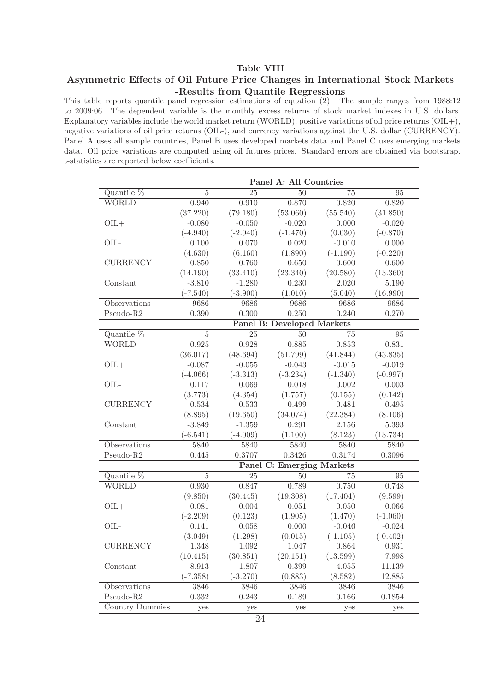### Table VIII

# Asymmetric Effects of Oil Future Price Changes in International Stock Markets -Results from Quantile Regressions

This table reports quantile panel regression estimations of equation (2). The sample ranges from 1988:12 to 2009:06. The dependent variable is the monthly excess returns of stock market indexes in U.S. dollars. Explanatory variables include the world market return (WORLD), positive variations of oil price returns (OIL+), negative variations of oil price returns (OIL-), and currency variations against the U.S. dollar (CURRENCY). Panel A uses all sample countries, Panel B uses developed markets data and Panel C uses emerging markets data. Oil price variations are computed using oil futures prices. Standard errors are obtained via bootstrap. t-statistics are reported below coefficients.

|                        | Panel A: All Countries |                   |                                   |            |                 |  |
|------------------------|------------------------|-------------------|-----------------------------------|------------|-----------------|--|
| Quantile %             | $\overline{5}$         | 25                | 50                                | 75         | 95              |  |
| <b>WORLD</b>           | 0.940                  | 0.910             | 0.870                             | 0.820      | 0.820           |  |
|                        | (37.220)               | (79.180)          | (53.060)                          | (55.540)   | (31.850)        |  |
| $OIL +$                | $-0.080$               | $-0.050$          | $-0.020$                          | 0.000      | $-0.020$        |  |
|                        | $(-4.940)$             | $(-2.940)$        | $(-1.470)$                        | (0.030)    | $(-0.870)$      |  |
| OIL-                   | 0.100                  | 0.070             | 0.020                             | $-0.010$   | 0.000           |  |
|                        | (4.630)                | (6.160)           | (1.890)                           | $(-1.190)$ | $(-0.220)$      |  |
| <b>CURRENCY</b>        | 0.850                  | 0.760             | 0.650                             | 0.600      | 0.600           |  |
|                        | (14.190)               | (33.410)          | (23.340)                          | (20.580)   | (13.360)        |  |
| Constant               | $-3.810$               | $-1.280$          | 0.230                             | 2.020      | 5.190           |  |
|                        | $(-7.540)$             | $(-3.900)$        | (1.010)                           | (5.040)    | (16.990)        |  |
| Observations           | 9686                   | 9686              | 9686                              | 9686       | 9686            |  |
| Pseudo-R2              | 0.390                  | 0.300             | 0.250                             | 0.240      | 0.270           |  |
|                        |                        |                   | <b>Panel B: Developed Markets</b> |            |                 |  |
| Quantile %             | $\bf 5$                | 25                | $50\,$                            | 75         | 95              |  |
| <b>WORLD</b>           | 0.925                  | 0.928             | 0.885                             | 0.853      | 0.831           |  |
|                        | (36.017)               | (48.694)          | (51.799)                          | (41.844)   | (43.835)        |  |
| $OIL +$                | $-0.087$               | $-0.055$          | $-0.043$                          | $-0.015$   | $-0.019$        |  |
|                        | $(-4.066)$             | $(-3.313)$        | $(-3.234)$                        | $(-1.340)$ | $(-0.997)$      |  |
| OIL-                   | 0.117                  | 0.069             | 0.018                             | 0.002      | 0.003           |  |
|                        | (3.773)                | (4.354)           | (1.757)                           | (0.155)    | (0.142)         |  |
| <b>CURRENCY</b>        | 0.534                  | 0.533             | 0.499                             | 0.481      | 0.495           |  |
|                        | (8.895)                | (19.650)          | (34.074)                          | (22.384)   | (8.106)         |  |
| Constant               | $-3.849$               | $-1.359$          | 0.291                             | 2.156      | 5.393           |  |
|                        | $(-6.541)$             | $(-4.009)$        | (1.100)                           | (8.123)    | (13.734)        |  |
| Observations           | 5840                   | $\overline{58}40$ | 5840                              | 5840       | 5840            |  |
| Pseudo-R2              | 0.445                  | 0.3707            | 0.3426                            | 0.3174     | 0.3096          |  |
|                        |                        |                   | <b>Panel C: Emerging Markets</b>  |            |                 |  |
| Quantile %             | $\overline{5}$         | $\overline{25}$   | $\overline{50}$                   | 75         | $\overline{95}$ |  |
| <b>WORLD</b>           | 0.930                  | 0.847             | 0.789                             | 0.750      | 0.748           |  |
|                        | (9.850)                | (30.445)          | (19.308)                          | (17.404)   | (9.599)         |  |
| $OIL +$                | $-0.081$               | 0.004             | 0.051                             | 0.050      | $-0.066$        |  |
|                        | $(-2.209)$             | (0.123)           | (1.905)                           | (1.470)    | $(-1.060)$      |  |
| $OIL-$                 | 0.141                  | 0.058             | 0.000                             | $-0.046$   | $-0.024$        |  |
|                        | (3.049)                | (1.298)           | (0.015)                           | $(-1.105)$ | $(-0.402)$      |  |
| <b>CURRENCY</b>        | 1.348                  | 1.092             | 1.047                             | 0.864      | 0.931           |  |
|                        | (10.415)               | (30.851)          | (20.151)                          | (13.599)   | 7.998           |  |
| Constant               | $-8.913$               | $-1.807$          | 0.399                             | 4.055      | 11.139          |  |
|                        | $(-7.358)$             | $(-3.270)$        | (0.883)                           | (8.582)    | 12.885          |  |
| Observations           | 3846                   | 3846              | 3846                              | 3846       | 3846            |  |
| Pseudo-R2              | 0.332                  | 0.243             | 0.189                             | 0.166      | 0.1854          |  |
| <b>Country Dummies</b> | yes                    | yes               | yes                               | yes        | yes             |  |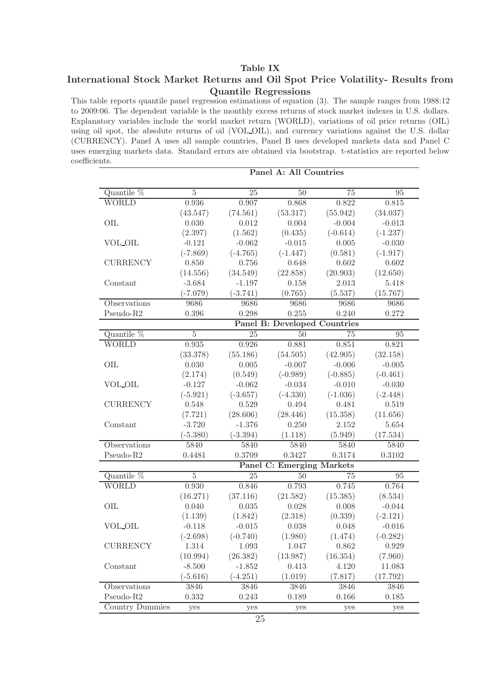### Table IX

### International Stock Market Returns and Oil Spot Price Volatility- Results from Quantile Regressions

This table reports quantile panel regression estimations of equation (3). The sample ranges from 1988:12 to 2009:06. The dependent variable is the monthly excess returns of stock market indexes in U.S. dollars. Explanatory variables include the world market return (WORLD), variations of oil price returns (OIL) using oil spot, the absolute returns of oil (VOL OIL), and currency variations against the U.S. dollar (CURRENCY). Panel A uses all sample countries, Panel B uses developed markets data and Panel C uses emerging markets data. Standard errors are obtained via bootstrap. t-statistics are reported below coefficients.

|                                                   | Panel A: All Countries |                 |                                     |                 |                 |  |  |  |
|---------------------------------------------------|------------------------|-----------------|-------------------------------------|-----------------|-----------------|--|--|--|
| Quantile %                                        | $\overline{5}$         | $\overline{25}$ | $\overline{50}$                     | $\overline{75}$ | $\overline{95}$ |  |  |  |
| <b>WORLD</b>                                      | 0.936                  | 0.907           | 0.868                               | 0.822           | 0.815           |  |  |  |
|                                                   | (43.547)               | (74.561)        | (53.317)                            | (55.942)        | (34.037)        |  |  |  |
| OIL                                               | 0.030                  | 0.012           | 0.004                               | $-0.004$        | $-0.013$        |  |  |  |
|                                                   | (2.397)                | (1.562)         | (0.435)                             | $(-0.614)$      | $(-1.237)$      |  |  |  |
| VOL_OIL                                           | $-0.121$               | $-0.062$        | $-0.015$                            | 0.005           | $-0.030$        |  |  |  |
|                                                   | $(-7.869)$             | $(-4.765)$      | $(-1.447)$                          | (0.581)         | $(-1.917)$      |  |  |  |
| <b>CURRENCY</b>                                   | 0.850                  | 0.756           | 0.648                               | 0.602           | 0.602           |  |  |  |
|                                                   | (14.556)               | (34.549)        | (22.858)                            | (20.903)        | (12.650)        |  |  |  |
| Constant                                          | $-3.684$               | $-1.197$        | 0.158                               | 2.013           | 5.418           |  |  |  |
|                                                   | $(-7.079)$             | $(-3.741)$      | (0.765)                             | (5.537)         | (15.767)        |  |  |  |
| Observations                                      | 9686                   | 9686            | 9686                                | 9686            | 9686            |  |  |  |
| Pseudo-R2                                         | 0.396                  | 0.298           | 0.255                               | 0.240           | 0.272           |  |  |  |
|                                                   |                        |                 | <b>Panel B: Developed Countries</b> |                 |                 |  |  |  |
| Quantile $%$                                      | $\overline{5}$         | 25              | 50                                  | 75              | 95              |  |  |  |
| <b>WORLD</b>                                      | 0.935                  | 0.926           | 0.881                               | 0.851           | 0.821           |  |  |  |
|                                                   | (33.378)               | (55.186)        | (54.505)                            | (42.905)        | (32.158)        |  |  |  |
| OIL                                               | 0.030                  | $0.005\,$       | $-0.007$                            | $-0.006$        | $-0.005$        |  |  |  |
|                                                   | (2.174)                | (0.549)         | $(-0.989)$                          | $(-0.885)$      | $(-0.461)$      |  |  |  |
| VOL_OIL                                           | $-0.127$               | $-0.062$        | $-0.034$                            | $-0.010$        | $-0.030$        |  |  |  |
|                                                   | $(-5.921)$             | $(-3.657)$      | $(-4.330)$                          | $(-1.036)$      | $(-2.448)$      |  |  |  |
| <b>CURRENCY</b>                                   | 0.548                  | 0.529           | 0.494                               | 0.481           | 0.519           |  |  |  |
|                                                   | (7.721)                | (28.606)        | (28.446)                            | (15.358)        | (11.656)        |  |  |  |
| Constant                                          | $-3.720$               | $-1.376$        | 0.250                               | 2.152           | $5.654\,$       |  |  |  |
|                                                   | $(-5.380)$             | $(-3.394)$      | (1.118)                             | (5.949)         | (17.534)        |  |  |  |
| Observations                                      | 5840                   | 5840            | 5840                                | 5840            | 5840            |  |  |  |
| Pseudo-R2                                         | 0.4481                 | 0.3709          | 0.3427                              | 0.3174          | 0.3102          |  |  |  |
|                                                   |                        |                 | <b>Panel C: Emerging Markets</b>    |                 |                 |  |  |  |
| Quantile %                                        | $\overline{5}$         | 25              | 50                                  | 75              | 95              |  |  |  |
| <b>WORLD</b>                                      | 0.930                  | 0.846           | 0.793                               | 0.745           | 0.764           |  |  |  |
|                                                   | (16.271)               | (37.116)        | (21.582)                            | (15.385)        | (8.534)         |  |  |  |
| OIL                                               | 0.040                  | $\,0.035\,$     | 0.028                               | 0.008           | $-0.044$        |  |  |  |
|                                                   | (1.139)                | (1.842)         | (2.318)                             | (0.339)         | $(-2.121)$      |  |  |  |
| <b>VOL_OIL</b>                                    | $-0.118$               | $-0.015$        | 0.038                               | 0.048           | $-0.016$        |  |  |  |
|                                                   | $(-2.698)$             | $(-0.740)$      | (1.980)                             | (1.474)         | $(-0.282)$      |  |  |  |
| $\begin{array}{ll} \textbf{CURRENCY} \end{array}$ | 1.314                  | 1.093           | 1.047                               | 0.862           | 0.929           |  |  |  |
|                                                   | (10.994)               | (26.382)        | (13.987)                            | (16.354)        | (7.960)         |  |  |  |
| Constant                                          | $-8.500$               | $-1.852$        | 0.413                               | 4.120           | 11.083          |  |  |  |
|                                                   | $(-5.616)$             | $(-4.251)$      | (1.019)                             | (7.817)         | (17.792)        |  |  |  |
| Observations                                      | 3846                   | 3846            | 3846                                | 3846            | 3846            |  |  |  |
| Pseudo-R2                                         | 0.332                  | 0.243           | 0.189                               | 0.166           | 0.185           |  |  |  |
| Country Dummies                                   | yes                    | yes             | yes                                 | yes             | yes             |  |  |  |